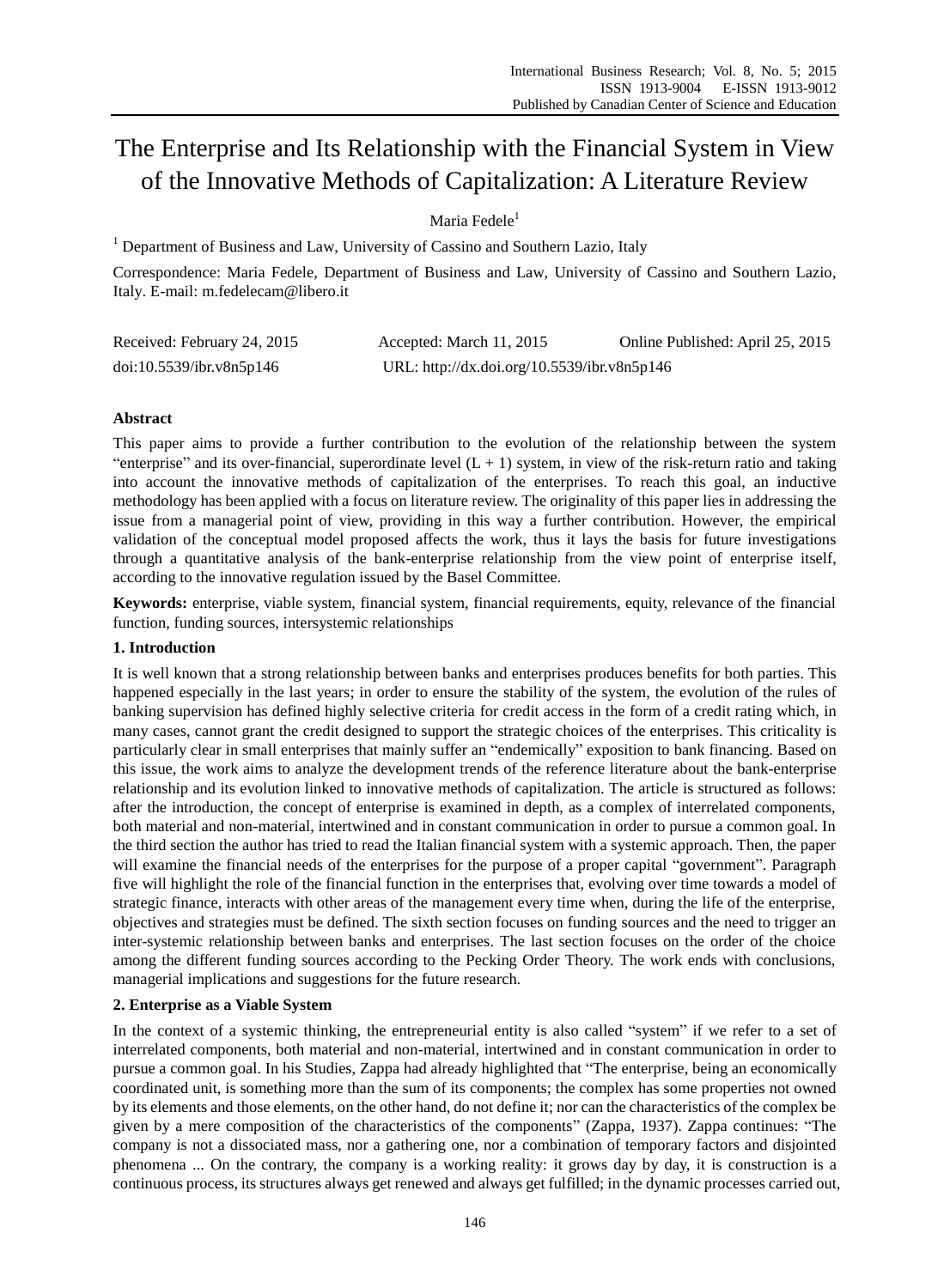# The Enterprise and Its Relationship with the Financial System in View of the Innovative Methods of Capitalization: A Literature Review

Maria Fedele $<sup>1</sup>$ </sup>

 $<sup>1</sup>$  Department of Business and Law, University of Cassino and Southern Lazio, Italy</sup>

Correspondence: Maria Fedele, Department of Business and Law, University of Cassino and Southern Lazio, Italy. E-mail: m.fedelecam@libero.it

| Received: February 24, 2015 | Accepted: March 11, 2015                    | Online Published: April 25, 2015 |
|-----------------------------|---------------------------------------------|----------------------------------|
| doi:10.5539/ibr.v8n5p146    | URL: http://dx.doi.org/10.5539/ibr.v8n5p146 |                                  |

# **Abstract**

This paper aims to provide a further contribution to the evolution of the relationship between the system "enterprise" and its over-financial, superordinate level  $(L + 1)$  system, in view of the risk-return ratio and taking into account the innovative methods of capitalization of the enterprises. To reach this goal, an inductive methodology has been applied with a focus on literature review. The originality of this paper lies in addressing the issue from a managerial point of view, providing in this way a further contribution. However, the empirical validation of the conceptual model proposed affects the work, thus it lays the basis for future investigations through a quantitative analysis of the bank-enterprise relationship from the view point of enterprise itself, according to the innovative regulation issued by the Basel Committee.

**Keywords:** enterprise, viable system, financial system, financial requirements, equity, relevance of the financial function, funding sources, intersystemic relationships

## **1. Introduction**

It is well known that a strong relationship between banks and enterprises produces benefits for both parties. This happened especially in the last years; in order to ensure the stability of the system, the evolution of the rules of banking supervision has defined highly selective criteria for credit access in the form of a credit rating which, in many cases, cannot grant the credit designed to support the strategic choices of the enterprises. This criticality is particularly clear in small enterprises that mainly suffer an "endemically" exposition to bank financing. Based on this issue, the work aims to analyze the development trends of the reference literature about the bank-enterprise relationship and its evolution linked to innovative methods of capitalization. The article is structured as follows: after the introduction, the concept of enterprise is examined in depth, as a complex of interrelated components, both material and non-material, intertwined and in constant communication in order to pursue a common goal. In the third section the author has tried to read the Italian financial system with a systemic approach. Then, the paper will examine the financial needs of the enterprises for the purpose of a proper capital "government". Paragraph five will highlight the role of the financial function in the enterprises that, evolving over time towards a model of strategic finance, interacts with other areas of the management every time when, during the life of the enterprise, objectives and strategies must be defined. The sixth section focuses on funding sources and the need to trigger an inter-systemic relationship between banks and enterprises. The last section focuses on the order of the choice among the different funding sources according to the Pecking Order Theory. The work ends with conclusions, managerial implications and suggestions for the future research.

# **2. Enterprise as a Viable System**

In the context of a systemic thinking, the entrepreneurial entity is also called "system" if we refer to a set of interrelated components, both material and non-material, intertwined and in constant communication in order to pursue a common goal. In his Studies, Zappa had already highlighted that "The enterprise, being an economically coordinated unit, is something more than the sum of its components; the complex has some properties not owned by its elements and those elements, on the other hand, do not define it; nor can the characteristics of the complex be given by a mere composition of the characteristics of the components" (Zappa, 1937). Zappa continues: "The company is not a dissociated mass, nor a gathering one, nor a combination of temporary factors and disjointed phenomena ... On the contrary, the company is a working reality: it grows day by day, it is construction is a continuous process, its structures always get renewed and always get fulfilled; in the dynamic processes carried out,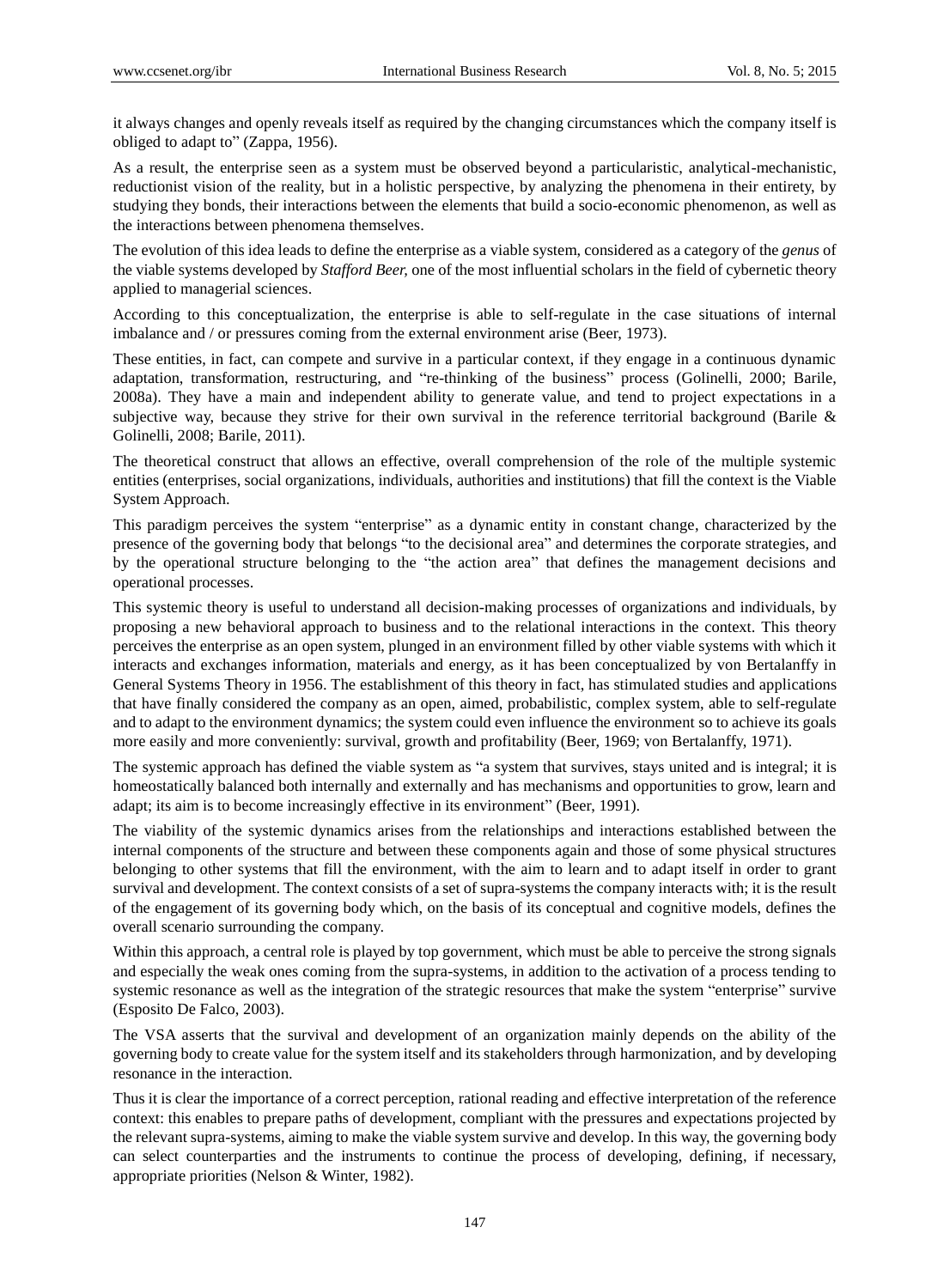it always changes and openly reveals itself as required by the changing circumstances which the company itself is obliged to adapt to" (Zappa, 1956).

As a result, the enterprise seen as a system must be observed beyond a particularistic, analytical-mechanistic, reductionist vision of the reality, but in a holistic perspective, by analyzing the phenomena in their entirety, by studying they bonds, their interactions between the elements that build a socio-economic phenomenon, as well as the interactions between phenomena themselves.

The evolution of this idea leads to define the enterprise as a viable system, considered as a category of the *genus* of the viable systems developed by *Stafford Beer,* one of the most influential scholars in the field of cybernetic theory applied to managerial sciences.

According to this conceptualization, the enterprise is able to self-regulate in the case situations of internal imbalance and / or pressures coming from the external environment arise (Beer, 1973).

These entities, in fact, can compete and survive in a particular context, if they engage in a continuous dynamic adaptation, transformation, restructuring, and "re-thinking of the business" process (Golinelli, 2000; Barile, 2008a). They have a main and independent ability to generate value, and tend to project expectations in a subjective way, because they strive for their own survival in the reference territorial background (Barile & Golinelli, 2008; Barile, 2011).

The theoretical construct that allows an effective, overall comprehension of the role of the multiple systemic entities (enterprises, social organizations, individuals, authorities and institutions) that fill the context is the Viable System Approach.

This paradigm perceives the system "enterprise" as a dynamic entity in constant change, characterized by the presence of the governing body that belongs "to the decisional area" and determines the corporate strategies, and by the operational structure belonging to the "the action area" that defines the management decisions and operational processes.

This systemic theory is useful to understand all decision-making processes of organizations and individuals, by proposing a new behavioral approach to business and to the relational interactions in the context. This theory perceives the enterprise as an open system, plunged in an environment filled by other viable systems with which it interacts and exchanges information, materials and energy, as it has been conceptualized by von Bertalanffy in General Systems Theory in 1956. The establishment of this theory in fact, has stimulated studies and applications that have finally considered the company as an open, aimed, probabilistic, complex system, able to self-regulate and to adapt to the environment dynamics; the system could even influence the environment so to achieve its goals more easily and more conveniently: survival, growth and profitability (Beer, 1969; von Bertalanffy, 1971).

The systemic approach has defined the viable system as "a system that survives, stays united and is integral; it is homeostatically balanced both internally and externally and has mechanisms and opportunities to grow, learn and adapt; its aim is to become increasingly effective in its environment" (Beer, 1991).

The viability of the systemic dynamics arises from the relationships and interactions established between the internal components of the structure and between these components again and those of some physical structures belonging to other systems that fill the environment, with the aim to learn and to adapt itself in order to grant survival and development. The context consists of a set of supra-systems the company interacts with; it is the result of the engagement of its governing body which, on the basis of its conceptual and cognitive models, defines the overall scenario surrounding the company.

Within this approach, a central role is played by top government, which must be able to perceive the strong signals and especially the weak ones coming from the supra-systems, in addition to the activation of a process tending to systemic resonance as well as the integration of the strategic resources that make the system "enterprise" survive (Esposito De Falco, 2003).

The VSA asserts that the survival and development of an organization mainly depends on the ability of the governing body to create value for the system itself and its stakeholders through harmonization, and by developing resonance in the interaction.

Thus it is clear the importance of a correct perception, rational reading and effective interpretation of the reference context: this enables to prepare paths of development, compliant with the pressures and expectations projected by the relevant supra-systems, aiming to make the viable system survive and develop. In this way, the governing body can select counterparties and the instruments to continue the process of developing, defining, if necessary, appropriate priorities (Nelson & Winter, 1982).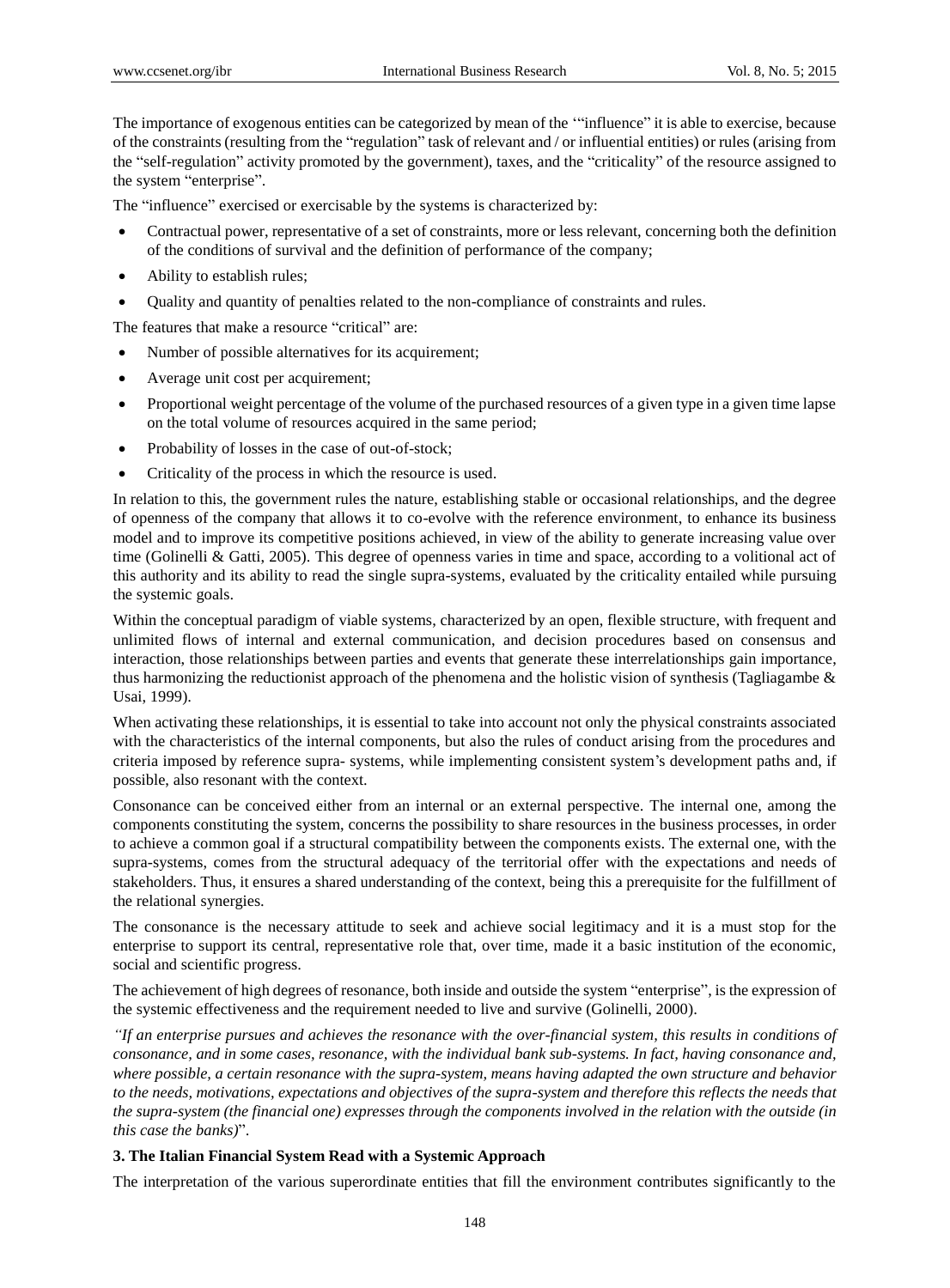The importance of exogenous entities can be categorized by mean of the ""influence" it is able to exercise, because of the constraints (resulting from the "regulation" task of relevant and / or influential entities) or rules (arising from the "self-regulation" activity promoted by the government), taxes, and the "criticality" of the resource assigned to the system "enterprise".

The "influence" exercised or exercisable by the systems is characterized by:

- Contractual power, representative of a set of constraints, more or less relevant, concerning both the definition of the conditions of survival and the definition of performance of the company;
- Ability to establish rules;
- Quality and quantity of penalties related to the non-compliance of constraints and rules.

The features that make a resource "critical" are:

- Number of possible alternatives for its acquirement;
- Average unit cost per acquirement;
- Proportional weight percentage of the volume of the purchased resources of a given type in a given time lapse on the total volume of resources acquired in the same period;
- Probability of losses in the case of out-of-stock;
- Criticality of the process in which the resource is used.

In relation to this, the government rules the nature, establishing stable or occasional relationships, and the degree of openness of the company that allows it to co-evolve with the reference environment, to enhance its business model and to improve its competitive positions achieved, in view of the ability to generate increasing value over time (Golinelli & Gatti, 2005). This degree of openness varies in time and space, according to a volitional act of this authority and its ability to read the single supra-systems, evaluated by the criticality entailed while pursuing the systemic goals.

Within the conceptual paradigm of viable systems, characterized by an open, flexible structure, with frequent and unlimited flows of internal and external communication, and decision procedures based on consensus and interaction, those relationships between parties and events that generate these interrelationships gain importance, thus harmonizing the reductionist approach of the phenomena and the holistic vision of synthesis (Tagliagambe & Usai, 1999).

When activating these relationships, it is essential to take into account not only the physical constraints associated with the characteristics of the internal components, but also the rules of conduct arising from the procedures and criteria imposed by reference supra- systems, while implementing consistent system"s development paths and, if possible, also resonant with the context.

Consonance can be conceived either from an internal or an external perspective. The internal one, among the components constituting the system, concerns the possibility to share resources in the business processes, in order to achieve a common goal if a structural compatibility between the components exists. The external one, with the supra-systems, comes from the structural adequacy of the territorial offer with the expectations and needs of stakeholders. Thus, it ensures a shared understanding of the context, being this a prerequisite for the fulfillment of the relational synergies.

The consonance is the necessary attitude to seek and achieve social legitimacy and it is a must stop for the enterprise to support its central, representative role that, over time, made it a basic institution of the economic, social and scientific progress.

The achievement of high degrees of resonance, both inside and outside the system "enterprise", is the expression of the systemic effectiveness and the requirement needed to live and survive (Golinelli, 2000).

*"If an enterprise pursues and achieves the resonance with the over-financial system, this results in conditions of consonance, and in some cases, resonance, with the individual bank sub-systems. In fact, having consonance and, where possible, a certain resonance with the supra-system, means having adapted the own structure and behavior to the needs, motivations, expectations and objectives of the supra-system and therefore this reflects the needs that the supra-system (the financial one) expresses through the components involved in the relation with the outside (in this case the banks)*".

# **3. The Italian Financial System Read with a Systemic Approach**

The interpretation of the various superordinate entities that fill the environment contributes significantly to the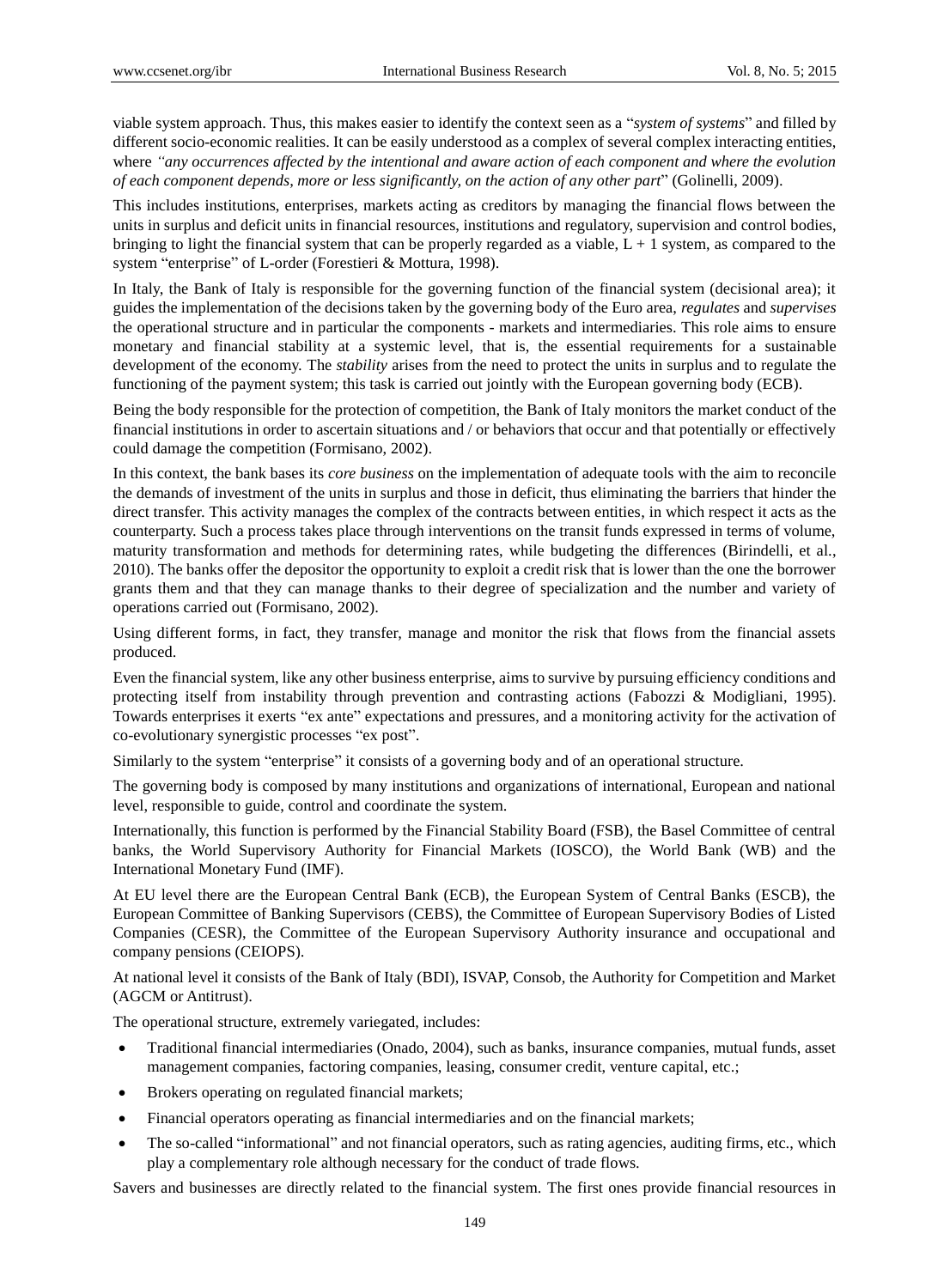viable system approach. Thus, this makes easier to identify the context seen as a "*system of systems*" and filled by different socio-economic realities. It can be easily understood as a complex of several complex interacting entities, where *"any occurrences affected by the intentional and aware action of each component and where the evolution of each component depends, more or less significantly, on the action of any other part*" (Golinelli, 2009).

This includes institutions, enterprises, markets acting as creditors by managing the financial flows between the units in surplus and deficit units in financial resources, institutions and regulatory, supervision and control bodies, bringing to light the financial system that can be properly regarded as a viable,  $L + 1$  system, as compared to the system "enterprise" of L-order (Forestieri & Mottura, 1998).

In Italy, the Bank of Italy is responsible for the governing function of the financial system (decisional area); it guides the implementation of the decisions taken by the governing body of the Euro area, *regulates* and *supervises* the operational structure and in particular the components - markets and intermediaries. This role aims to ensure monetary and financial stability at a systemic level, that is, the essential requirements for a sustainable development of the economy. The *stability* arises from the need to protect the units in surplus and to regulate the functioning of the payment system; this task is carried out jointly with the European governing body (ECB).

Being the body responsible for the protection of competition, the Bank of Italy monitors the market conduct of the financial institutions in order to ascertain situations and / or behaviors that occur and that potentially or effectively could damage the competition (Formisano, 2002).

In this context, the bank bases its *core business* on the implementation of adequate tools with the aim to reconcile the demands of investment of the units in surplus and those in deficit, thus eliminating the barriers that hinder the direct transfer. This activity manages the complex of the contracts between entities, in which respect it acts as the counterparty. Such a process takes place through interventions on the transit funds expressed in terms of volume, maturity transformation and methods for determining rates, while budgeting the differences (Birindelli, et al., 2010). The banks offer the depositor the opportunity to exploit a credit risk that is lower than the one the borrower grants them and that they can manage thanks to their degree of specialization and the number and variety of operations carried out (Formisano, 2002).

Using different forms, in fact, they transfer, manage and monitor the risk that flows from the financial assets produced.

Even the financial system, like any other business enterprise, aims to survive by pursuing efficiency conditions and protecting itself from instability through prevention and contrasting actions (Fabozzi & Modigliani, 1995). Towards enterprises it exerts "ex ante" expectations and pressures, and a monitoring activity for the activation of co-evolutionary synergistic processes "ex post".

Similarly to the system "enterprise" it consists of a governing body and of an operational structure.

The governing body is composed by many institutions and organizations of international, European and national level, responsible to guide, control and coordinate the system.

Internationally, this function is performed by the Financial Stability Board (FSB), the Basel Committee of central banks, the World Supervisory Authority for Financial Markets (IOSCO), the World Bank (WB) and the International Monetary Fund (IMF).

At EU level there are the European Central Bank (ECB), the European System of Central Banks (ESCB), the European Committee of Banking Supervisors (CEBS), the Committee of European Supervisory Bodies of Listed Companies (CESR), the Committee of the European Supervisory Authority insurance and occupational and company pensions (CEIOPS).

At national level it consists of the Bank of Italy (BDI), ISVAP, Consob, the Authority for Competition and Market (AGCM or Antitrust).

The operational structure, extremely variegated, includes:

- Traditional financial intermediaries (Onado, 2004), such as banks, insurance companies, mutual funds, asset management companies, factoring companies, leasing, consumer credit, venture capital, etc.;
- Brokers operating on regulated financial markets;
- Financial operators operating as financial intermediaries and on the financial markets;
- The so-called "informational" and not financial operators, such as rating agencies, auditing firms, etc., which play a complementary role although necessary for the conduct of trade flows.

Savers and businesses are directly related to the financial system. The first ones provide financial resources in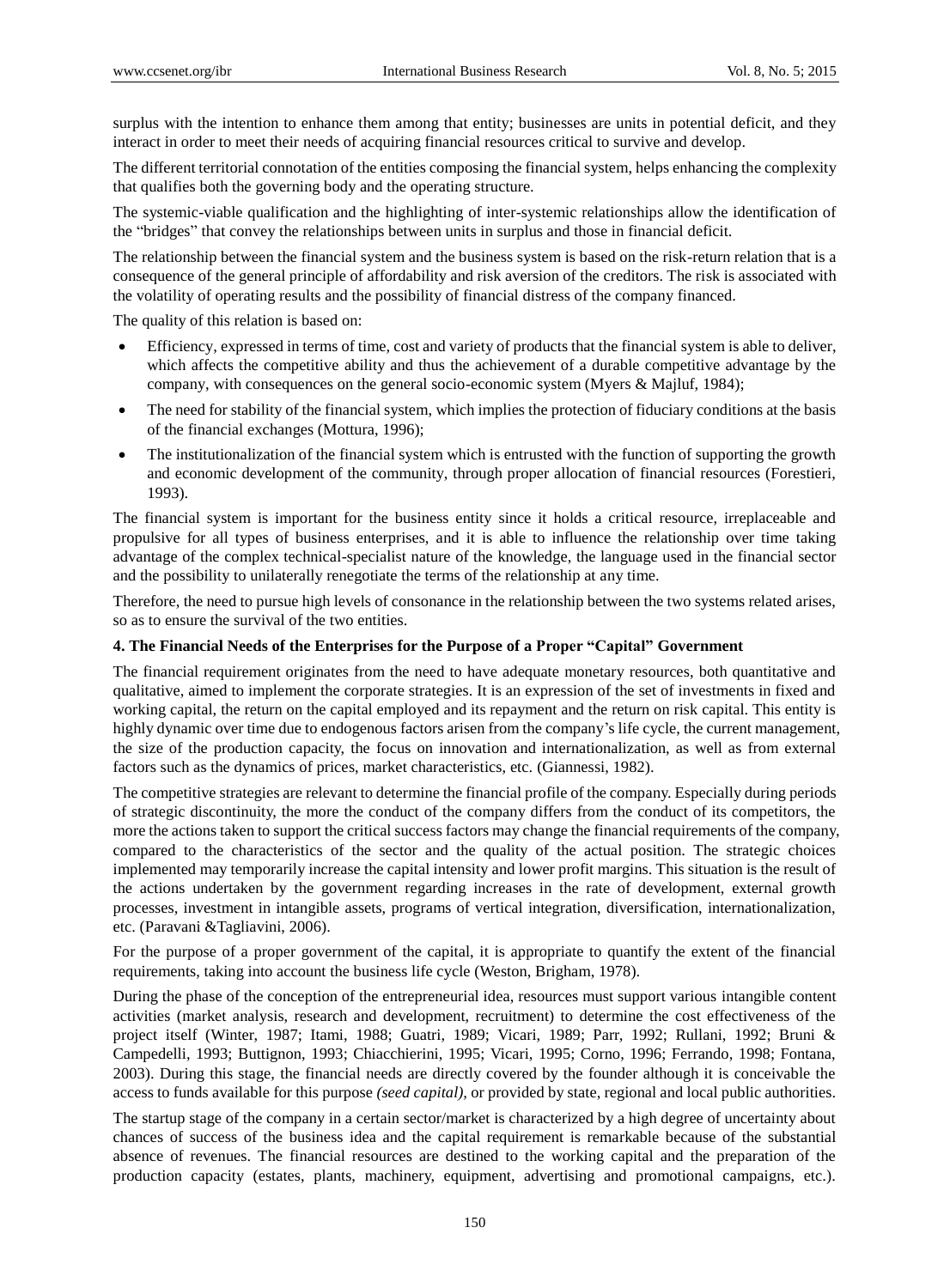surplus with the intention to enhance them among that entity; businesses are units in potential deficit, and they interact in order to meet their needs of acquiring financial resources critical to survive and develop.

The different territorial connotation of the entities composing the financial system, helps enhancing the complexity that qualifies both the governing body and the operating structure.

The systemic-viable qualification and the highlighting of inter-systemic relationships allow the identification of the "bridges" that convey the relationships between units in surplus and those in financial deficit.

The relationship between the financial system and the business system is based on the risk-return relation that is a consequence of the general principle of affordability and risk aversion of the creditors. The risk is associated with the volatility of operating results and the possibility of financial distress of the company financed.

The quality of this relation is based on:

- Efficiency, expressed in terms of time, cost and variety of products that the financial system is able to deliver, which affects the competitive ability and thus the achievement of a durable competitive advantage by the company, with consequences on the general socio-economic system (Myers & Majluf, 1984);
- The need for stability of the financial system, which implies the protection of fiduciary conditions at the basis of the financial exchanges (Mottura, 1996);
- The institutionalization of the financial system which is entrusted with the function of supporting the growth and economic development of the community, through proper allocation of financial resources (Forestieri, 1993).

The financial system is important for the business entity since it holds a critical resource, irreplaceable and propulsive for all types of business enterprises, and it is able to influence the relationship over time taking advantage of the complex technical-specialist nature of the knowledge, the language used in the financial sector and the possibility to unilaterally renegotiate the terms of the relationship at any time.

Therefore, the need to pursue high levels of consonance in the relationship between the two systems related arises, so as to ensure the survival of the two entities.

#### **4. The Financial Needs of the Enterprises for the Purpose of a Proper "Capital" Government**

The financial requirement originates from the need to have adequate monetary resources, both quantitative and qualitative, aimed to implement the corporate strategies. It is an expression of the set of investments in fixed and working capital, the return on the capital employed and its repayment and the return on risk capital. This entity is highly dynamic over time due to endogenous factors arisen from the company's life cycle, the current management, the size of the production capacity, the focus on innovation and internationalization, as well as from external factors such as the dynamics of prices, market characteristics, etc. (Giannessi, 1982).

The competitive strategies are relevant to determine the financial profile of the company. Especially during periods of strategic discontinuity, the more the conduct of the company differs from the conduct of its competitors, the more the actions taken to support the critical success factors may change the financial requirements of the company, compared to the characteristics of the sector and the quality of the actual position. The strategic choices implemented may temporarily increase the capital intensity and lower profit margins. This situation is the result of the actions undertaken by the government regarding increases in the rate of development, external growth processes, investment in intangible assets, programs of vertical integration, diversification, internationalization, etc. (Paravani &Tagliavini, 2006).

For the purpose of a proper government of the capital, it is appropriate to quantify the extent of the financial requirements, taking into account the business life cycle (Weston, Brigham, 1978).

During the phase of the conception of the entrepreneurial idea, resources must support various intangible content activities (market analysis, research and development, recruitment) to determine the cost effectiveness of the project itself (Winter, 1987; Itami, 1988; Guatri, 1989; Vicari, 1989; Parr, 1992; Rullani, 1992; Bruni & Campedelli, 1993; Buttignon, 1993; Chiacchierini, 1995; Vicari, 1995; Corno, 1996; Ferrando, 1998; Fontana, 2003). During this stage, the financial needs are directly covered by the founder although it is conceivable the access to funds available for this purpose *(seed capital),* or provided by state, regional and local public authorities.

The startup stage of the company in a certain sector/market is characterized by a high degree of uncertainty about chances of success of the business idea and the capital requirement is remarkable because of the substantial absence of revenues. The financial resources are destined to the working capital and the preparation of the production capacity (estates, plants, machinery, equipment, advertising and promotional campaigns, etc.).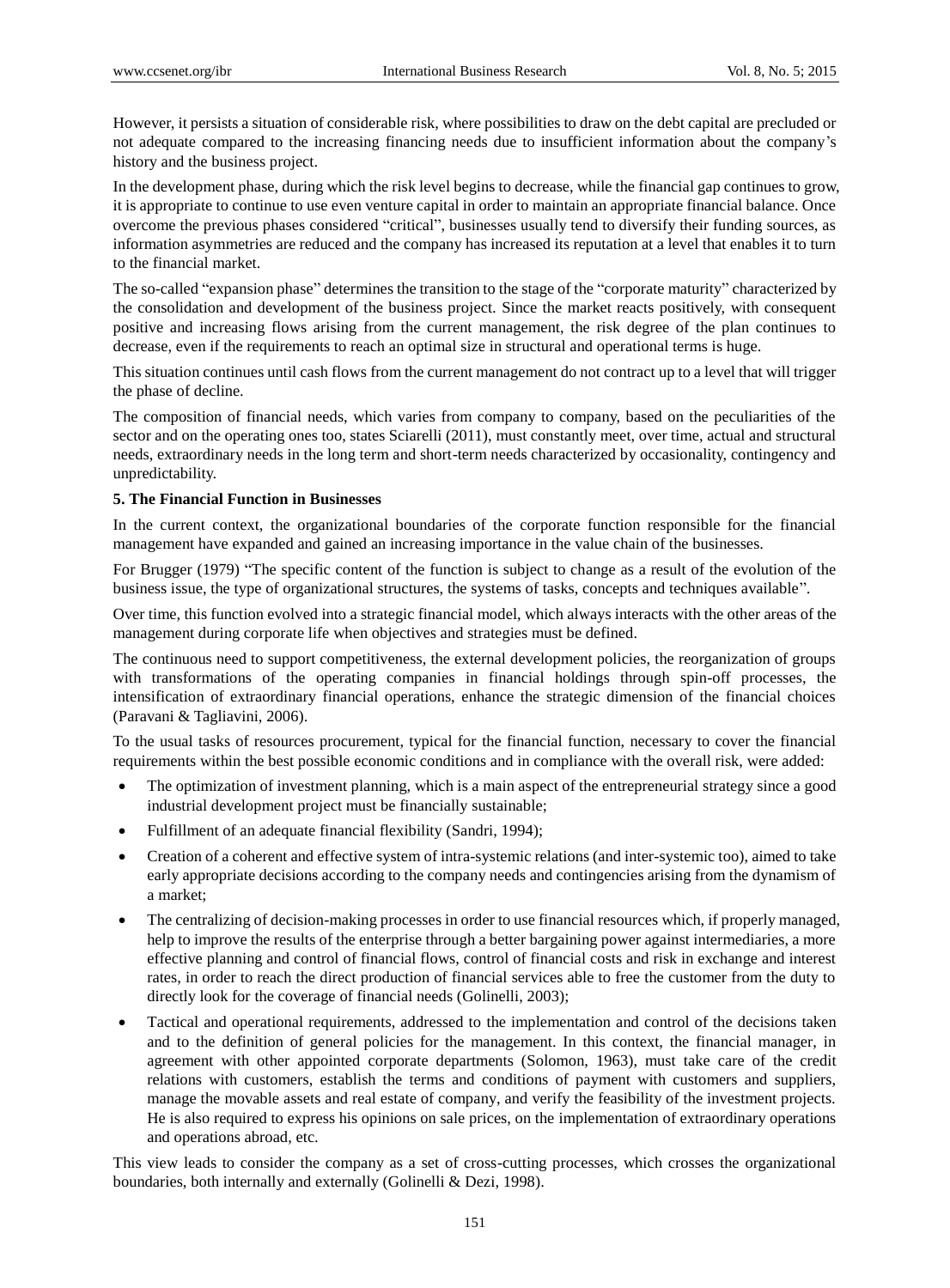However, it persists a situation of considerable risk, where possibilities to draw on the debt capital are precluded or not adequate compared to the increasing financing needs due to insufficient information about the company"s history and the business project.

In the development phase, during which the risk level begins to decrease, while the financial gap continues to grow, it is appropriate to continue to use even venture capital in order to maintain an appropriate financial balance. Once overcome the previous phases considered "critical", businesses usually tend to diversify their funding sources, as information asymmetries are reduced and the company has increased its reputation at a level that enables it to turn to the financial market.

The so-called "expansion phase" determines the transition to the stage of the "corporate maturity" characterized by the consolidation and development of the business project. Since the market reacts positively, with consequent positive and increasing flows arising from the current management, the risk degree of the plan continues to decrease, even if the requirements to reach an optimal size in structural and operational terms is huge.

This situation continues until cash flows from the current management do not contract up to a level that will trigger the phase of decline.

The composition of financial needs, which varies from company to company, based on the peculiarities of the sector and on the operating ones too, states Sciarelli (2011), must constantly meet, over time, actual and structural needs, extraordinary needs in the long term and short-term needs characterized by occasionality, contingency and unpredictability.

## **5. The Financial Function in Businesses**

In the current context, the organizational boundaries of the corporate function responsible for the financial management have expanded and gained an increasing importance in the value chain of the businesses.

For Brugger (1979) "The specific content of the function is subject to change as a result of the evolution of the business issue, the type of organizational structures, the systems of tasks, concepts and techniques available".

Over time, this function evolved into a strategic financial model, which always interacts with the other areas of the management during corporate life when objectives and strategies must be defined.

The continuous need to support competitiveness, the external development policies, the reorganization of groups with transformations of the operating companies in financial holdings through spin-off processes, the intensification of extraordinary financial operations, enhance the strategic dimension of the financial choices (Paravani & Tagliavini, 2006).

To the usual tasks of resources procurement, typical for the financial function, necessary to cover the financial requirements within the best possible economic conditions and in compliance with the overall risk, were added:

- The optimization of investment planning, which is a main aspect of the entrepreneurial strategy since a good industrial development project must be financially sustainable;
- Fulfillment of an adequate financial flexibility (Sandri, 1994);
- Creation of a coherent and effective system of intra-systemic relations (and inter-systemic too), aimed to take early appropriate decisions according to the company needs and contingencies arising from the dynamism of a market;
- The centralizing of decision-making processes in order to use financial resources which, if properly managed, help to improve the results of the enterprise through a better bargaining power against intermediaries, a more effective planning and control of financial flows, control of financial costs and risk in exchange and interest rates, in order to reach the direct production of financial services able to free the customer from the duty to directly look for the coverage of financial needs (Golinelli, 2003);
- Tactical and operational requirements, addressed to the implementation and control of the decisions taken and to the definition of general policies for the management. In this context, the financial manager, in agreement with other appointed corporate departments (Solomon, 1963), must take care of the credit relations with customers, establish the terms and conditions of payment with customers and suppliers, manage the movable assets and real estate of company, and verify the feasibility of the investment projects. He is also required to express his opinions on sale prices, on the implementation of extraordinary operations and operations abroad, etc.

This view leads to consider the company as a set of cross-cutting processes, which crosses the organizational boundaries, both internally and externally (Golinelli & Dezi, 1998).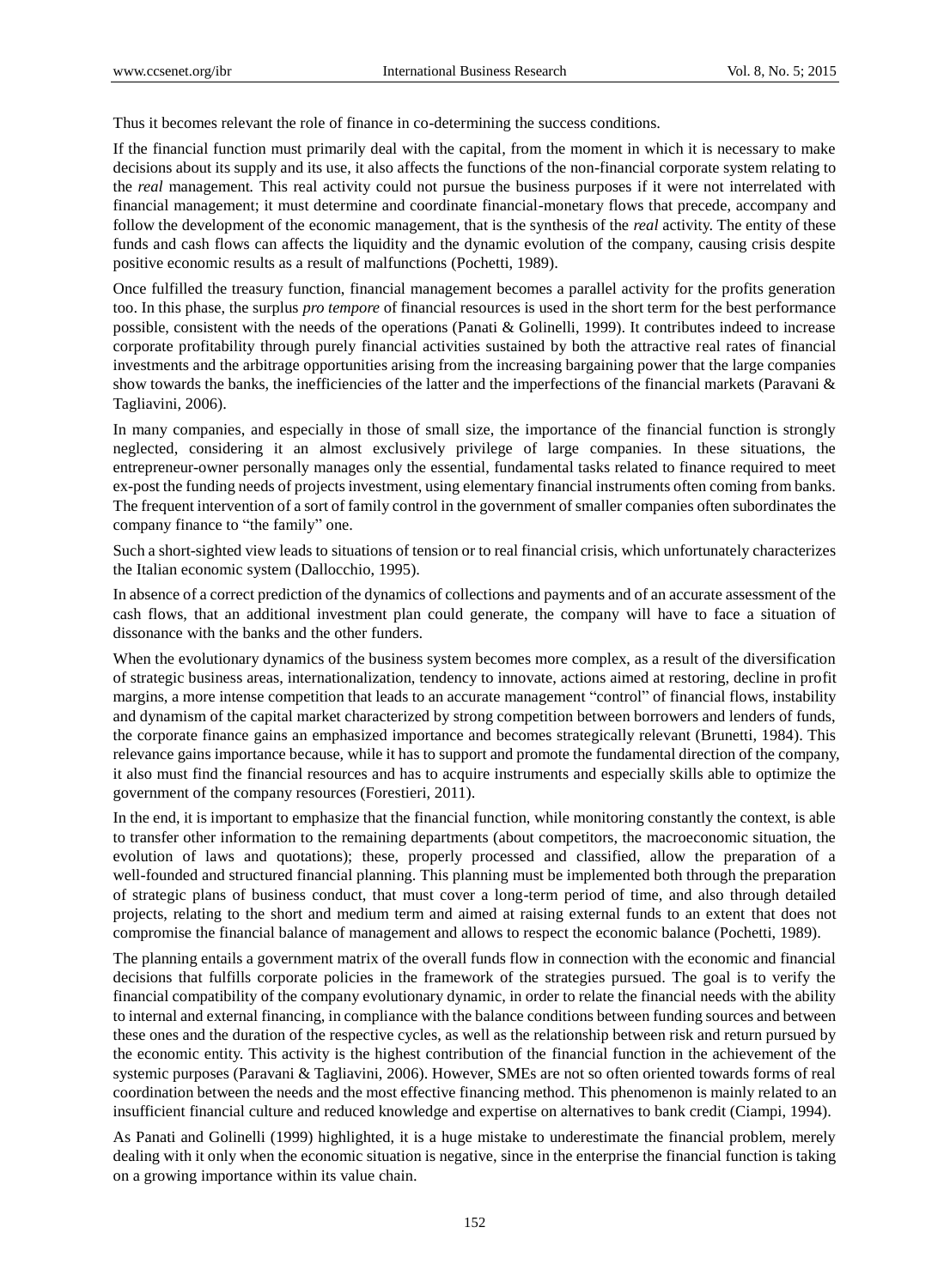Thus it becomes relevant the role of finance in co-determining the success conditions.

If the financial function must primarily deal with the capital, from the moment in which it is necessary to make decisions about its supply and its use, it also affects the functions of the non-financial corporate system relating to the *real* management*.* This real activity could not pursue the business purposes if it were not interrelated with financial management; it must determine and coordinate financial-monetary flows that precede, accompany and follow the development of the economic management, that is the synthesis of the *real* activity. The entity of these funds and cash flows can affects the liquidity and the dynamic evolution of the company, causing crisis despite positive economic results as a result of malfunctions (Pochetti, 1989).

Once fulfilled the treasury function, financial management becomes a parallel activity for the profits generation too. In this phase, the surplus *pro tempore* of financial resources is used in the short term for the best performance possible, consistent with the needs of the operations (Panati & Golinelli, 1999). It contributes indeed to increase corporate profitability through purely financial activities sustained by both the attractive real rates of financial investments and the arbitrage opportunities arising from the increasing bargaining power that the large companies show towards the banks, the inefficiencies of the latter and the imperfections of the financial markets (Paravani  $\&$ Tagliavini, 2006).

In many companies, and especially in those of small size, the importance of the financial function is strongly neglected, considering it an almost exclusively privilege of large companies. In these situations, the entrepreneur-owner personally manages only the essential, fundamental tasks related to finance required to meet ex-post the funding needs of projects investment, using elementary financial instruments often coming from banks. The frequent intervention of a sort of family control in the government of smaller companies often subordinates the company finance to "the family" one.

Such a short-sighted view leads to situations of tension or to real financial crisis, which unfortunately characterizes the Italian economic system (Dallocchio, 1995).

In absence of a correct prediction of the dynamics of collections and payments and of an accurate assessment of the cash flows, that an additional investment plan could generate, the company will have to face a situation of dissonance with the banks and the other funders.

When the evolutionary dynamics of the business system becomes more complex, as a result of the diversification of strategic business areas, internationalization, tendency to innovate, actions aimed at restoring, decline in profit margins, a more intense competition that leads to an accurate management "control" of financial flows, instability and dynamism of the capital market characterized by strong competition between borrowers and lenders of funds, the corporate finance gains an emphasized importance and becomes strategically relevant (Brunetti, 1984). This relevance gains importance because, while it has to support and promote the fundamental direction of the company, it also must find the financial resources and has to acquire instruments and especially skills able to optimize the government of the company resources (Forestieri, 2011).

In the end, it is important to emphasize that the financial function, while monitoring constantly the context, is able to transfer other information to the remaining departments (about competitors, the macroeconomic situation, the evolution of laws and quotations); these, properly processed and classified, allow the preparation of a well-founded and structured financial planning. This planning must be implemented both through the preparation of strategic plans of business conduct, that must cover a long-term period of time, and also through detailed projects, relating to the short and medium term and aimed at raising external funds to an extent that does not compromise the financial balance of management and allows to respect the economic balance (Pochetti, 1989).

The planning entails a government matrix of the overall funds flow in connection with the economic and financial decisions that fulfills corporate policies in the framework of the strategies pursued. The goal is to verify the financial compatibility of the company evolutionary dynamic, in order to relate the financial needs with the ability to internal and external financing, in compliance with the balance conditions between funding sources and between these ones and the duration of the respective cycles, as well as the relationship between risk and return pursued by the economic entity. This activity is the highest contribution of the financial function in the achievement of the systemic purposes (Paravani & Tagliavini, 2006). However, SMEs are not so often oriented towards forms of real coordination between the needs and the most effective financing method. This phenomenon is mainly related to an insufficient financial culture and reduced knowledge and expertise on alternatives to bank credit (Ciampi, 1994).

As Panati and Golinelli (1999) highlighted, it is a huge mistake to underestimate the financial problem, merely dealing with it only when the economic situation is negative, since in the enterprise the financial function is taking on a growing importance within its value chain.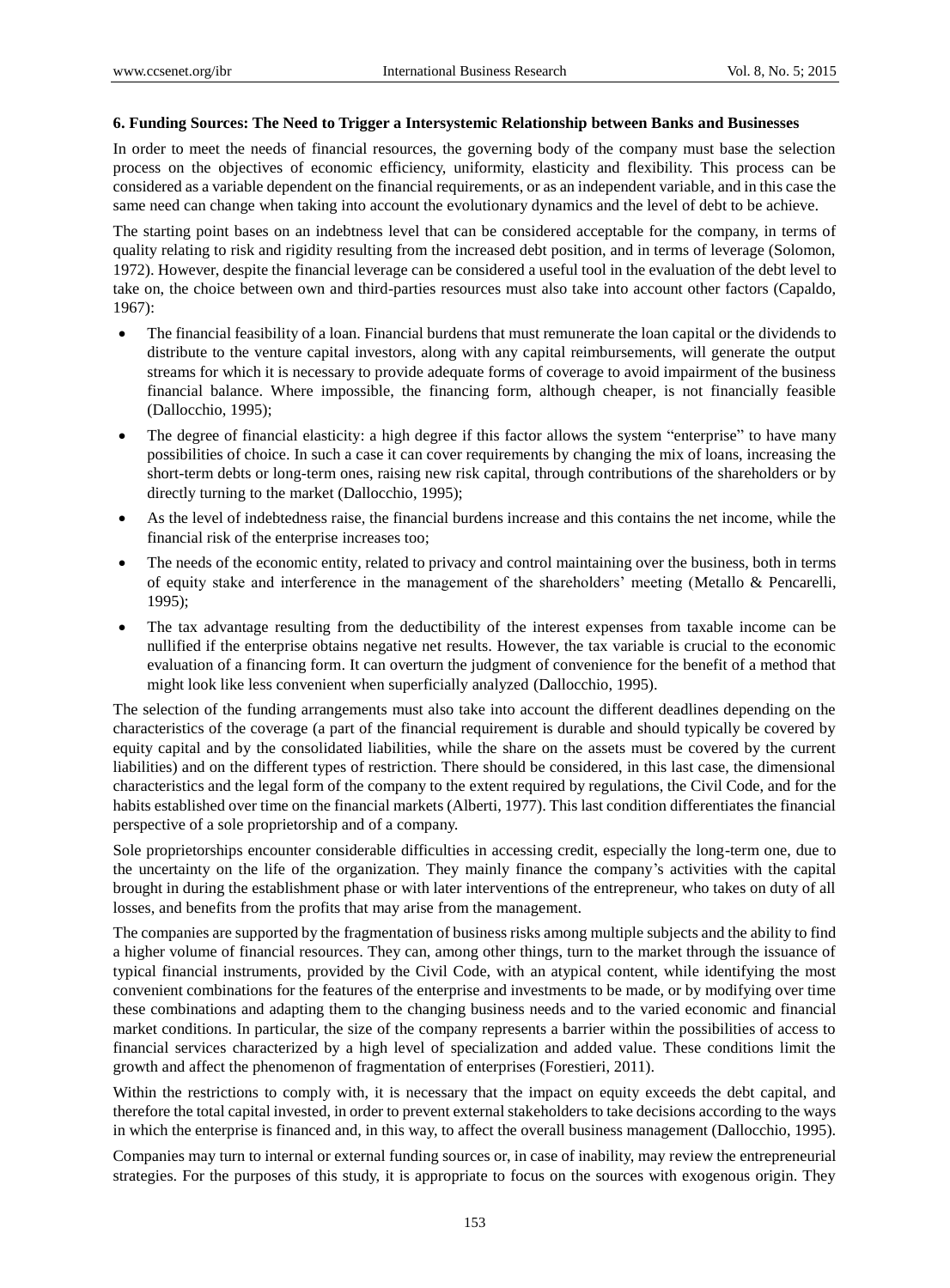#### **6. Funding Sources: The Need to Trigger a Intersystemic Relationship between Banks and Businesses**

In order to meet the needs of financial resources, the governing body of the company must base the selection process on the objectives of economic efficiency, uniformity, elasticity and flexibility. This process can be considered as a variable dependent on the financial requirements, or as an independent variable, and in this case the same need can change when taking into account the evolutionary dynamics and the level of debt to be achieve.

The starting point bases on an indebtness level that can be considered acceptable for the company, in terms of quality relating to risk and rigidity resulting from the increased debt position, and in terms of leverage (Solomon, 1972). However, despite the financial leverage can be considered a useful tool in the evaluation of the debt level to take on, the choice between own and third-parties resources must also take into account other factors (Capaldo, 1967):

- The financial feasibility of a loan. Financial burdens that must remunerate the loan capital or the dividends to distribute to the venture capital investors, along with any capital reimbursements, will generate the output streams for which it is necessary to provide adequate forms of coverage to avoid impairment of the business financial balance. Where impossible, the financing form, although cheaper, is not financially feasible (Dallocchio, 1995);
- The degree of financial elasticity: a high degree if this factor allows the system "enterprise" to have many possibilities of choice. In such a case it can cover requirements by changing the mix of loans, increasing the short-term debts or long-term ones, raising new risk capital, through contributions of the shareholders or by directly turning to the market (Dallocchio, 1995);
- As the level of indebtedness raise, the financial burdens increase and this contains the net income, while the financial risk of the enterprise increases too;
- The needs of the economic entity, related to privacy and control maintaining over the business, both in terms of equity stake and interference in the management of the shareholders" meeting (Metallo & Pencarelli, 1995);
- The tax advantage resulting from the deductibility of the interest expenses from taxable income can be nullified if the enterprise obtains negative net results. However, the tax variable is crucial to the economic evaluation of a financing form. It can overturn the judgment of convenience for the benefit of a method that might look like less convenient when superficially analyzed (Dallocchio, 1995).

The selection of the funding arrangements must also take into account the different deadlines depending on the characteristics of the coverage (a part of the financial requirement is durable and should typically be covered by equity capital and by the consolidated liabilities, while the share on the assets must be covered by the current liabilities) and on the different types of restriction. There should be considered, in this last case, the dimensional characteristics and the legal form of the company to the extent required by regulations, the Civil Code, and for the habits established over time on the financial markets (Alberti, 1977). This last condition differentiates the financial perspective of a sole proprietorship and of a company.

Sole proprietorships encounter considerable difficulties in accessing credit, especially the long-term one, due to the uncertainty on the life of the organization. They mainly finance the company"s activities with the capital brought in during the establishment phase or with later interventions of the entrepreneur, who takes on duty of all losses, and benefits from the profits that may arise from the management.

The companies are supported by the fragmentation of business risks among multiple subjects and the ability to find a higher volume of financial resources. They can, among other things, turn to the market through the issuance of typical financial instruments, provided by the Civil Code, with an atypical content, while identifying the most convenient combinations for the features of the enterprise and investments to be made, or by modifying over time these combinations and adapting them to the changing business needs and to the varied economic and financial market conditions. In particular, the size of the company represents a barrier within the possibilities of access to financial services characterized by a high level of specialization and added value. These conditions limit the growth and affect the phenomenon of fragmentation of enterprises (Forestieri, 2011).

Within the restrictions to comply with, it is necessary that the impact on equity exceeds the debt capital, and therefore the total capital invested, in order to prevent external stakeholders to take decisions according to the ways in which the enterprise is financed and, in this way, to affect the overall business management (Dallocchio, 1995).

Companies may turn to internal or external funding sources or, in case of inability, may review the entrepreneurial strategies. For the purposes of this study, it is appropriate to focus on the sources with exogenous origin. They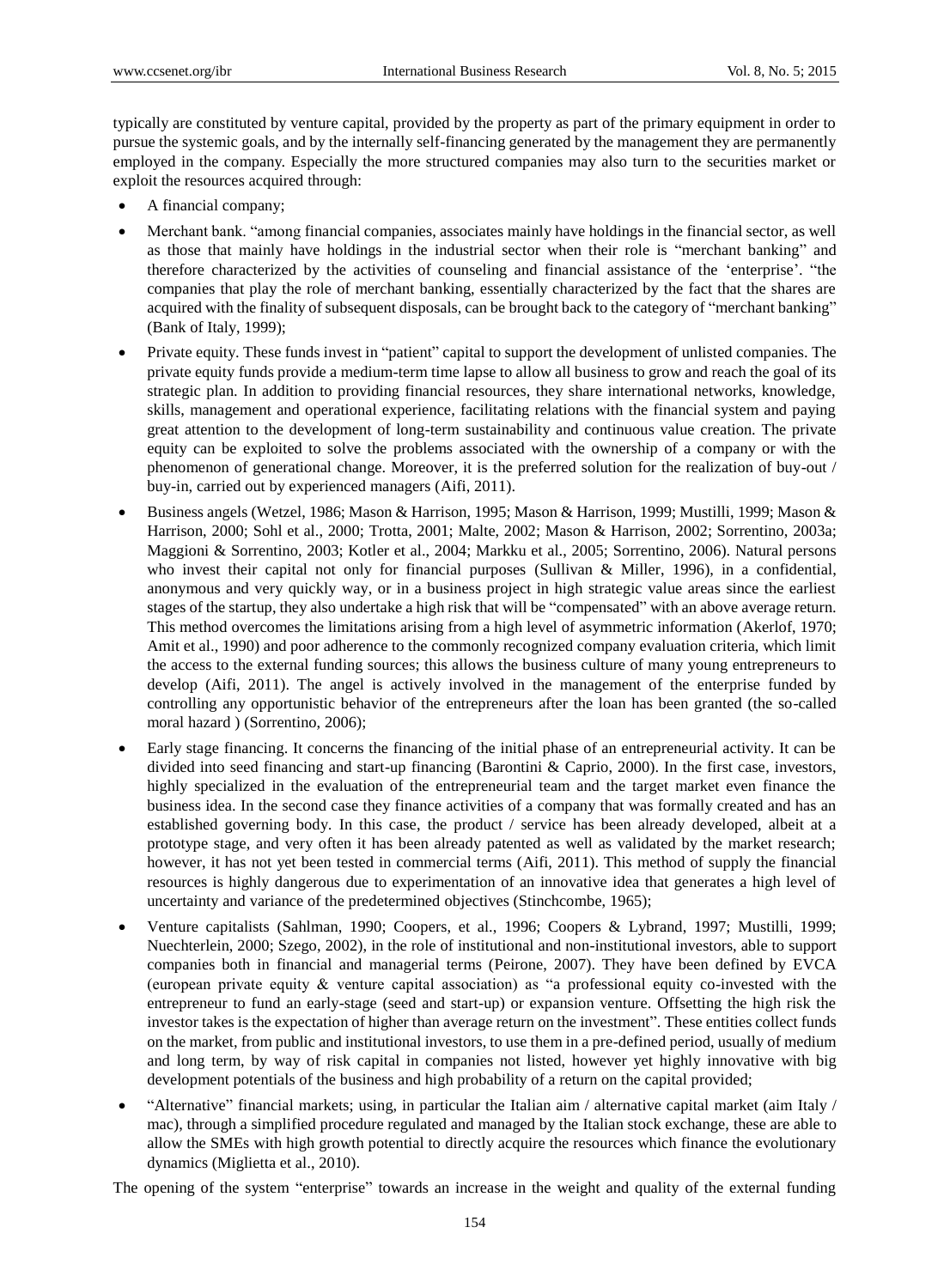typically are constituted by venture capital, provided by the property as part of the primary equipment in order to pursue the systemic goals, and by the internally self-financing generated by the management they are permanently employed in the company. Especially the more structured companies may also turn to the securities market or exploit the resources acquired through:

- A financial company;
- Merchant bank. "among financial companies, associates mainly have holdings in the financial sector, as well as those that mainly have holdings in the industrial sector when their role is "merchant banking" and therefore characterized by the activities of counseling and financial assistance of the "enterprise". "the companies that play the role of merchant banking, essentially characterized by the fact that the shares are acquired with the finality of subsequent disposals, can be brought back to the category of "merchant banking" (Bank of Italy, 1999);
- Private equity. These funds invest in "patient" capital to support the development of unlisted companies. The private equity funds provide a medium-term time lapse to allow all business to grow and reach the goal of its strategic plan. In addition to providing financial resources, they share international networks, knowledge, skills, management and operational experience, facilitating relations with the financial system and paying great attention to the development of long-term sustainability and continuous value creation. The private equity can be exploited to solve the problems associated with the ownership of a company or with the phenomenon of generational change. Moreover, it is the preferred solution for the realization of buy-out / buy-in, carried out by experienced managers (Aifi, 2011).
- Business angels (Wetzel, 1986; Mason & Harrison, 1995; Mason & Harrison, 1999; Mustilli, 1999; Mason & Harrison, 2000; Sohl et al., 2000; Trotta, 2001; Malte, 2002; Mason & Harrison, 2002; Sorrentino, 2003a; Maggioni & Sorrentino, 2003; Kotler et al., 2004; Markku et al., 2005; Sorrentino, 2006). Natural persons who invest their capital not only for financial purposes (Sullivan & Miller, 1996), in a confidential, anonymous and very quickly way, or in a business project in high strategic value areas since the earliest stages of the startup, they also undertake a high risk that will be "compensated" with an above average return. This method overcomes the limitations arising from a high level of asymmetric information (Akerlof, 1970; Amit et al., 1990) and poor adherence to the commonly recognized company evaluation criteria, which limit the access to the external funding sources; this allows the business culture of many young entrepreneurs to develop (Aifi, 2011). The angel is actively involved in the management of the enterprise funded by controlling any opportunistic behavior of the entrepreneurs after the loan has been granted (the so-called moral hazard ) (Sorrentino, 2006);
- Early stage financing. It concerns the financing of the initial phase of an entrepreneurial activity. It can be divided into seed financing and start-up financing (Barontini & Caprio, 2000). In the first case, investors, highly specialized in the evaluation of the entrepreneurial team and the target market even finance the business idea. In the second case they finance activities of a company that was formally created and has an established governing body. In this case, the product / service has been already developed, albeit at a prototype stage, and very often it has been already patented as well as validated by the market research; however, it has not yet been tested in commercial terms (Aifi, 2011). This method of supply the financial resources is highly dangerous due to experimentation of an innovative idea that generates a high level of uncertainty and variance of the predetermined objectives (Stinchcombe, 1965);
- Venture capitalists (Sahlman, 1990; Coopers, et al., 1996; Coopers & Lybrand, 1997; Mustilli, 1999; Nuechterlein, 2000; Szego, 2002), in the role of institutional and non-institutional investors, able to support companies both in financial and managerial terms (Peirone, 2007). They have been defined by EVCA (european private equity & venture capital association) as "a professional equity co-invested with the entrepreneur to fund an early-stage (seed and start-up) or expansion venture. Offsetting the high risk the investor takes is the expectation of higher than average return on the investment". These entities collect funds on the market, from public and institutional investors, to use them in a pre-defined period, usually of medium and long term, by way of risk capital in companies not listed, however yet highly innovative with big development potentials of the business and high probability of a return on the capital provided;
- "Alternative" financial markets; using, in particular the Italian aim / alternative capital market (aim Italy / mac), through a simplified procedure regulated and managed by the Italian stock exchange, these are able to allow the SMEs with high growth potential to directly acquire the resources which finance the evolutionary dynamics (Miglietta et al., 2010).

The opening of the system "enterprise" towards an increase in the weight and quality of the external funding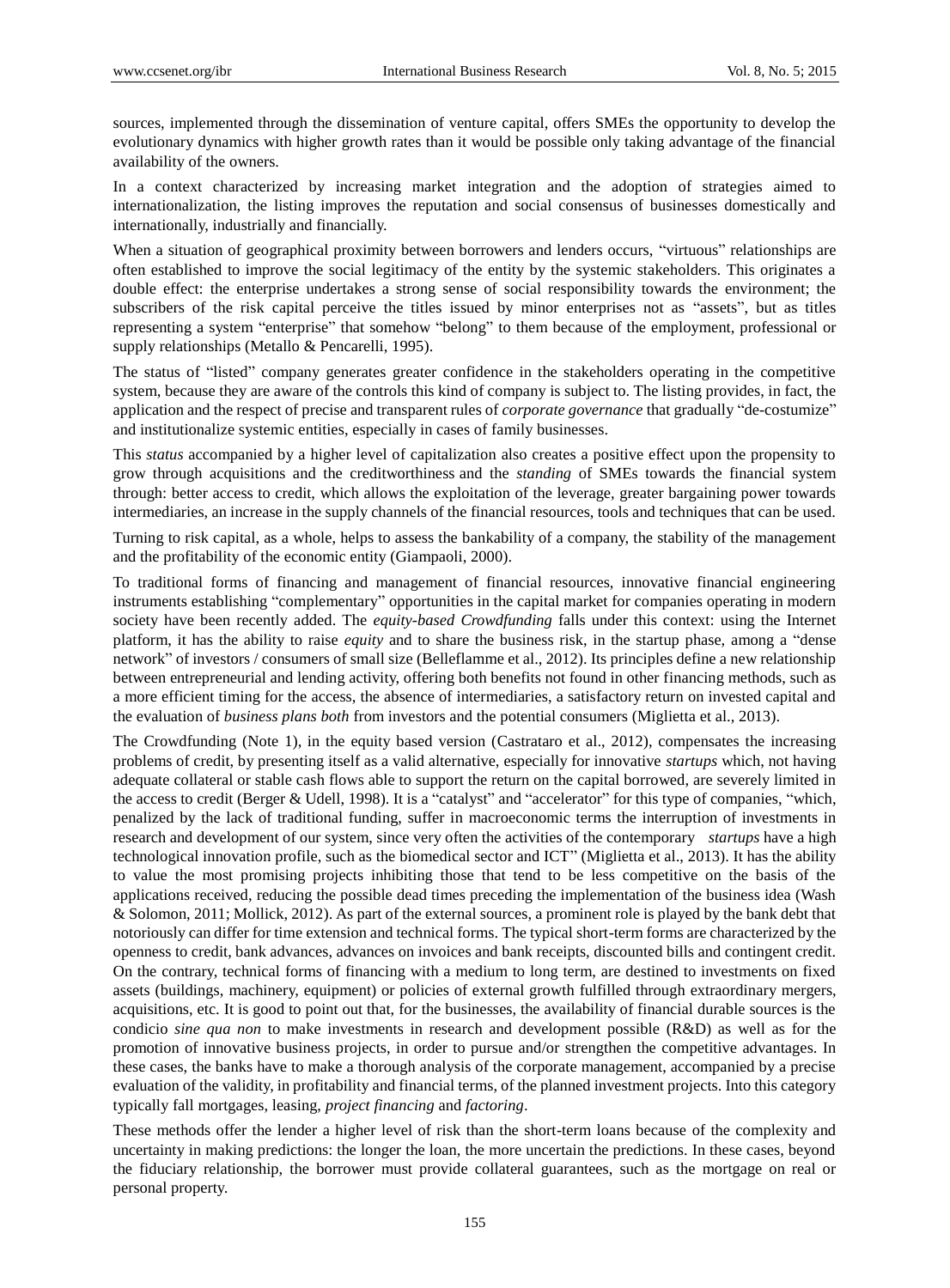sources, implemented through the dissemination of venture capital, offers SMEs the opportunity to develop the evolutionary dynamics with higher growth rates than it would be possible only taking advantage of the financial availability of the owners.

In a context characterized by increasing market integration and the adoption of strategies aimed to internationalization, the listing improves the reputation and social consensus of businesses domestically and internationally, industrially and financially.

When a situation of geographical proximity between borrowers and lenders occurs, "virtuous" relationships are often established to improve the social legitimacy of the entity by the systemic stakeholders. This originates a double effect: the enterprise undertakes a strong sense of social responsibility towards the environment; the subscribers of the risk capital perceive the titles issued by minor enterprises not as "assets", but as titles representing a system "enterprise" that somehow "belong" to them because of the employment, professional or supply relationships (Metallo & Pencarelli, 1995).

The status of "listed" company generates greater confidence in the stakeholders operating in the competitive system, because they are aware of the controls this kind of company is subject to. The listing provides, in fact, the application and the respect of precise and transparent rules of *corporate governance* that gradually "de-costumize" and institutionalize systemic entities, especially in cases of family businesses.

This *status* accompanied by a higher level of capitalization also creates a positive effect upon the propensity to grow through acquisitions and the creditworthiness and the *standing* of SMEs towards the financial system through: better access to credit, which allows the exploitation of the leverage, greater bargaining power towards intermediaries, an increase in the supply channels of the financial resources, tools and techniques that can be used.

Turning to risk capital, as a whole, helps to assess the bankability of a company, the stability of the management and the profitability of the economic entity (Giampaoli, 2000).

To traditional forms of financing and management of financial resources, innovative financial engineering instruments establishing "complementary" opportunities in the capital market for companies operating in modern society have been recently added. The *equity-based Crowdfunding* falls under this context: using the Internet platform, it has the ability to raise *equity* and to share the business risk, in the startup phase, among a "dense network" of investors / consumers of small size (Belleflamme et al., 2012). Its principles define a new relationship between entrepreneurial and lending activity, offering both benefits not found in other financing methods, such as a more efficient timing for the access, the absence of intermediaries, a satisfactory return on invested capital and the evaluation of *business plans both* from investors and the potential consumers (Miglietta et al., 2013).

The Crowdfunding (Note 1), in the equity based version (Castrataro et al., 2012), compensates the increasing problems of credit, by presenting itself as a valid alternative, especially for innovative *startups* which, not having adequate collateral or stable cash flows able to support the return on the capital borrowed, are severely limited in the access to credit (Berger & Udell, 1998). It is a "catalyst" and "accelerator" for this type of companies, "which, penalized by the lack of traditional funding, suffer in macroeconomic terms the interruption of investments in research and development of our system, since very often the activities of the contemporary *startups* have a high technological innovation profile, such as the biomedical sector and ICT" (Miglietta et al., 2013). It has the ability to value the most promising projects inhibiting those that tend to be less competitive on the basis of the applications received, reducing the possible dead times preceding the implementation of the business idea (Wash & Solomon, 2011; Mollick, 2012). As part of the external sources, a prominent role is played by the bank debt that notoriously can differ for time extension and technical forms. The typical short-term forms are characterized by the openness to credit, bank advances, advances on invoices and bank receipts, discounted bills and contingent credit. On the contrary, technical forms of financing with a medium to long term, are destined to investments on fixed assets (buildings, machinery, equipment) or policies of external growth fulfilled through extraordinary mergers, acquisitions, etc. It is good to point out that, for the businesses, the availability of financial durable sources is the condicio *sine qua non* to make investments in research and development possible (R&D) as well as for the promotion of innovative business projects, in order to pursue and/or strengthen the competitive advantages. In these cases, the banks have to make a thorough analysis of the corporate management, accompanied by a precise evaluation of the validity, in profitability and financial terms, of the planned investment projects. Into this category typically fall mortgages, leasing, *project financing* and *factoring*.

These methods offer the lender a higher level of risk than the short-term loans because of the complexity and uncertainty in making predictions: the longer the loan, the more uncertain the predictions. In these cases, beyond the fiduciary relationship, the borrower must provide collateral guarantees, such as the mortgage on real or personal property.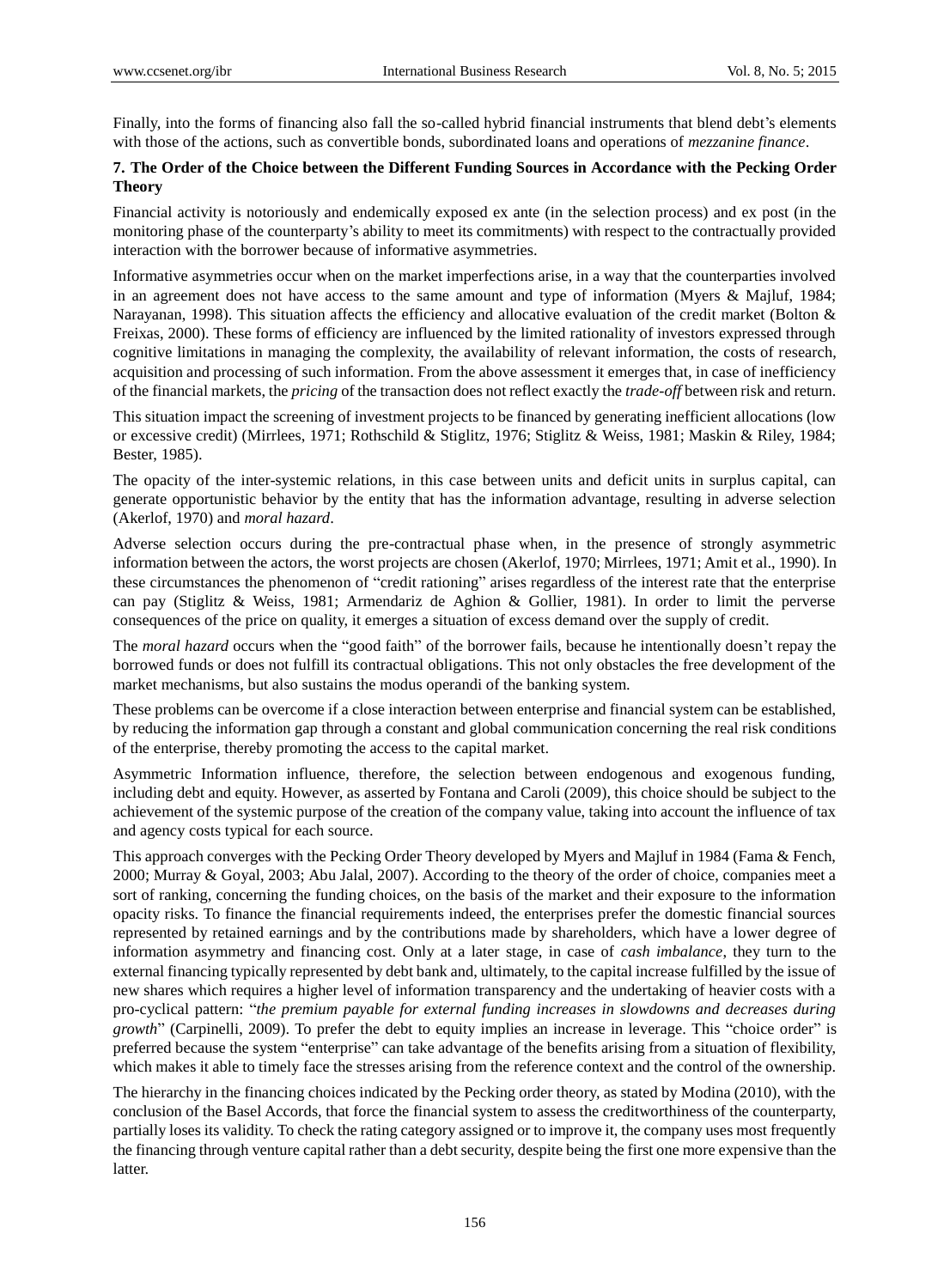Finally, into the forms of financing also fall the so-called hybrid financial instruments that blend debt's elements with those of the actions, such as convertible bonds, subordinated loans and operations of *mezzanine finance*.

# **7. The Order of the Choice between the Different Funding Sources in Accordance with the Pecking Order Theory**

Financial activity is notoriously and endemically exposed ex ante (in the selection process) and ex post (in the monitoring phase of the counterparty"s ability to meet its commitments) with respect to the contractually provided interaction with the borrower because of informative asymmetries.

Informative asymmetries occur when on the market imperfections arise, in a way that the counterparties involved in an agreement does not have access to the same amount and type of information (Myers & Majluf, 1984; Narayanan, 1998). This situation affects the efficiency and allocative evaluation of the credit market (Bolton & Freixas, 2000). These forms of efficiency are influenced by the limited rationality of investors expressed through cognitive limitations in managing the complexity, the availability of relevant information, the costs of research, acquisition and processing of such information. From the above assessment it emerges that, in case of inefficiency of the financial markets, the *pricing* of the transaction does not reflect exactly the *trade-off* between risk and return.

This situation impact the screening of investment projects to be financed by generating inefficient allocations (low or excessive credit) (Mirrlees, 1971; Rothschild & Stiglitz, 1976; Stiglitz & Weiss, 1981; Maskin & Riley, 1984; Bester, 1985).

The opacity of the inter-systemic relations, in this case between units and deficit units in surplus capital, can generate opportunistic behavior by the entity that has the information advantage, resulting in adverse selection (Akerlof, 1970) and *moral hazard*.

Adverse selection occurs during the pre-contractual phase when, in the presence of strongly asymmetric information between the actors, the worst projects are chosen (Akerlof, 1970; Mirrlees, 1971; Amit et al., 1990). In these circumstances the phenomenon of "credit rationing" arises regardless of the interest rate that the enterprise can pay (Stiglitz & Weiss, 1981; Armendariz de Aghion & Gollier, 1981). In order to limit the perverse consequences of the price on quality, it emerges a situation of excess demand over the supply of credit.

The *moral hazard* occurs when the "good faith" of the borrower fails, because he intentionally doesn't repay the borrowed funds or does not fulfill its contractual obligations. This not only obstacles the free development of the market mechanisms, but also sustains the modus operandi of the banking system.

These problems can be overcome if a close interaction between enterprise and financial system can be established, by reducing the information gap through a constant and global communication concerning the real risk conditions of the enterprise, thereby promoting the access to the capital market.

Asymmetric Information influence, therefore, the selection between endogenous and exogenous funding, including debt and equity. However, as asserted by Fontana and Caroli (2009), this choice should be subject to the achievement of the systemic purpose of the creation of the company value, taking into account the influence of tax and agency costs typical for each source.

This approach converges with the Pecking Order Theory developed by Myers and Majluf in 1984 (Fama & Fench, 2000; Murray & Goyal, 2003; Abu Jalal, 2007). According to the theory of the order of choice, companies meet a sort of ranking, concerning the funding choices, on the basis of the market and their exposure to the information opacity risks. To finance the financial requirements indeed, the enterprises prefer the domestic financial sources represented by retained earnings and by the contributions made by shareholders, which have a lower degree of information asymmetry and financing cost. Only at a later stage, in case of *cash imbalance*, they turn to the external financing typically represented by debt bank and, ultimately, to the capital increase fulfilled by the issue of new shares which requires a higher level of information transparency and the undertaking of heavier costs with a pro-cyclical pattern: "*the premium payable for external funding increases in slowdowns and decreases during growth*" (Carpinelli, 2009). To prefer the debt to equity implies an increase in leverage. This "choice order" is preferred because the system "enterprise" can take advantage of the benefits arising from a situation of flexibility, which makes it able to timely face the stresses arising from the reference context and the control of the ownership.

The hierarchy in the financing choices indicated by the Pecking order theory, as stated by Modina (2010), with the conclusion of the Basel Accords, that force the financial system to assess the creditworthiness of the counterparty, partially loses its validity. To check the rating category assigned or to improve it, the company uses most frequently the financing through venture capital rather than a debt security, despite being the first one more expensive than the latter.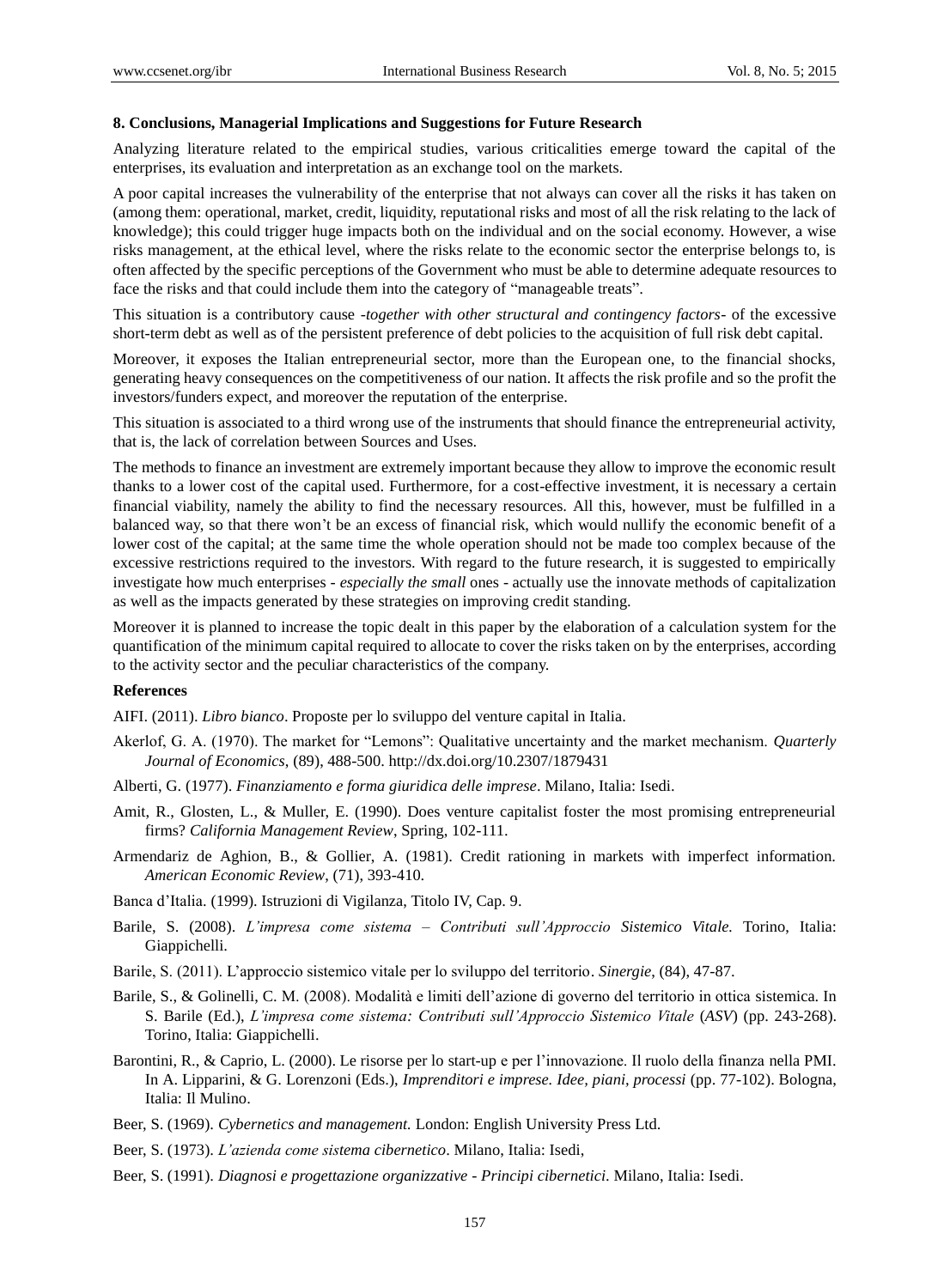## **8. Conclusions, Managerial Implications and Suggestions for Future Research**

Analyzing literature related to the empirical studies, various criticalities emerge toward the capital of the enterprises, its evaluation and interpretation as an exchange tool on the markets.

A poor capital increases the vulnerability of the enterprise that not always can cover all the risks it has taken on (among them: operational, market, credit, liquidity, reputational risks and most of all the risk relating to the lack of knowledge); this could trigger huge impacts both on the individual and on the social economy. However, a wise risks management, at the ethical level, where the risks relate to the economic sector the enterprise belongs to, is often affected by the specific perceptions of the Government who must be able to determine adequate resources to face the risks and that could include them into the category of "manageable treats".

This situation is a contributory cause *-together with other structural and contingency factors-* of the excessive short-term debt as well as of the persistent preference of debt policies to the acquisition of full risk debt capital.

Moreover, it exposes the Italian entrepreneurial sector, more than the European one, to the financial shocks, generating heavy consequences on the competitiveness of our nation. It affects the risk profile and so the profit the investors/funders expect, and moreover the reputation of the enterprise.

This situation is associated to a third wrong use of the instruments that should finance the entrepreneurial activity, that is, the lack of correlation between Sources and Uses.

The methods to finance an investment are extremely important because they allow to improve the economic result thanks to a lower cost of the capital used. Furthermore, for a cost-effective investment, it is necessary a certain financial viability, namely the ability to find the necessary resources. All this, however, must be fulfilled in a balanced way, so that there won"t be an excess of financial risk, which would nullify the economic benefit of a lower cost of the capital; at the same time the whole operation should not be made too complex because of the excessive restrictions required to the investors. With regard to the future research, it is suggested to empirically investigate how much enterprises *- especially the small* ones - actually use the innovate methods of capitalization as well as the impacts generated by these strategies on improving credit standing.

Moreover it is planned to increase the topic dealt in this paper by the elaboration of a calculation system for the quantification of the minimum capital required to allocate to cover the risks taken on by the enterprises, according to the activity sector and the peculiar characteristics of the company.

#### **References**

AIFI. (2011). *Libro bianco*. Proposte per lo sviluppo del venture capital in Italia.

- Akerlof, G. A. (1970). The market for "Lemons": Qualitative uncertainty and the market mechanism. *Quarterly Journal of Economics*, (89), 488-500. http://dx.doi.org/10.2307/1879431
- Alberti, G. (1977). *Finanziamento e forma giuridica delle imprese*. Milano, Italia: Isedi.
- Amit, R., Glosten, L., & Muller, E. (1990). Does venture capitalist foster the most promising entrepreneurial firms? *California Management Review*, Spring, 102-111.
- Armendariz de Aghion, B., & Gollier, A. (1981). Credit rationing in markets with imperfect information. *American Economic Review*, (71), 393-410.
- Banca d"Italia. (1999). Istruzioni di Vigilanza, Titolo IV, Cap. 9.
- Barile, S. (2008). *L'impresa come sistema – Contributi sull'Approccio Sistemico Vitale.* Torino, Italia: Giappichelli.
- Barile, S. (2011). L"approccio sistemico vitale per lo sviluppo del territorio. *Sinergie*, (84), 47-87.
- Barile, S., & Golinelli, C. M. (2008). Modalità e limiti dell"azione di governo del territorio in ottica sistemica. In S. Barile (Ed.), *L'impresa come sistema: Contributi sull'Approccio Sistemico Vitale* (*ASV*) (pp. 243-268). Torino, Italia: Giappichelli.
- Barontini, R., & Caprio, L. (2000). Le risorse per lo start-up e per l"innovazione. Il ruolo della finanza nella PMI. In A. Lipparini, & G. Lorenzoni (Eds.), *Imprenditori e imprese. Idee, piani, processi* (pp. 77-102). Bologna, Italia: Il Mulino.
- Beer, S. (1969). *Cybernetics and management.* London: English University Press Ltd.
- Beer, S. (1973). *L'azienda come sistema cibernetico*. Milano, Italia: Isedi,
- Beer, S. (1991). *Diagnosi e progettazione organizzative Principi cibernetici*. Milano, Italia: Isedi.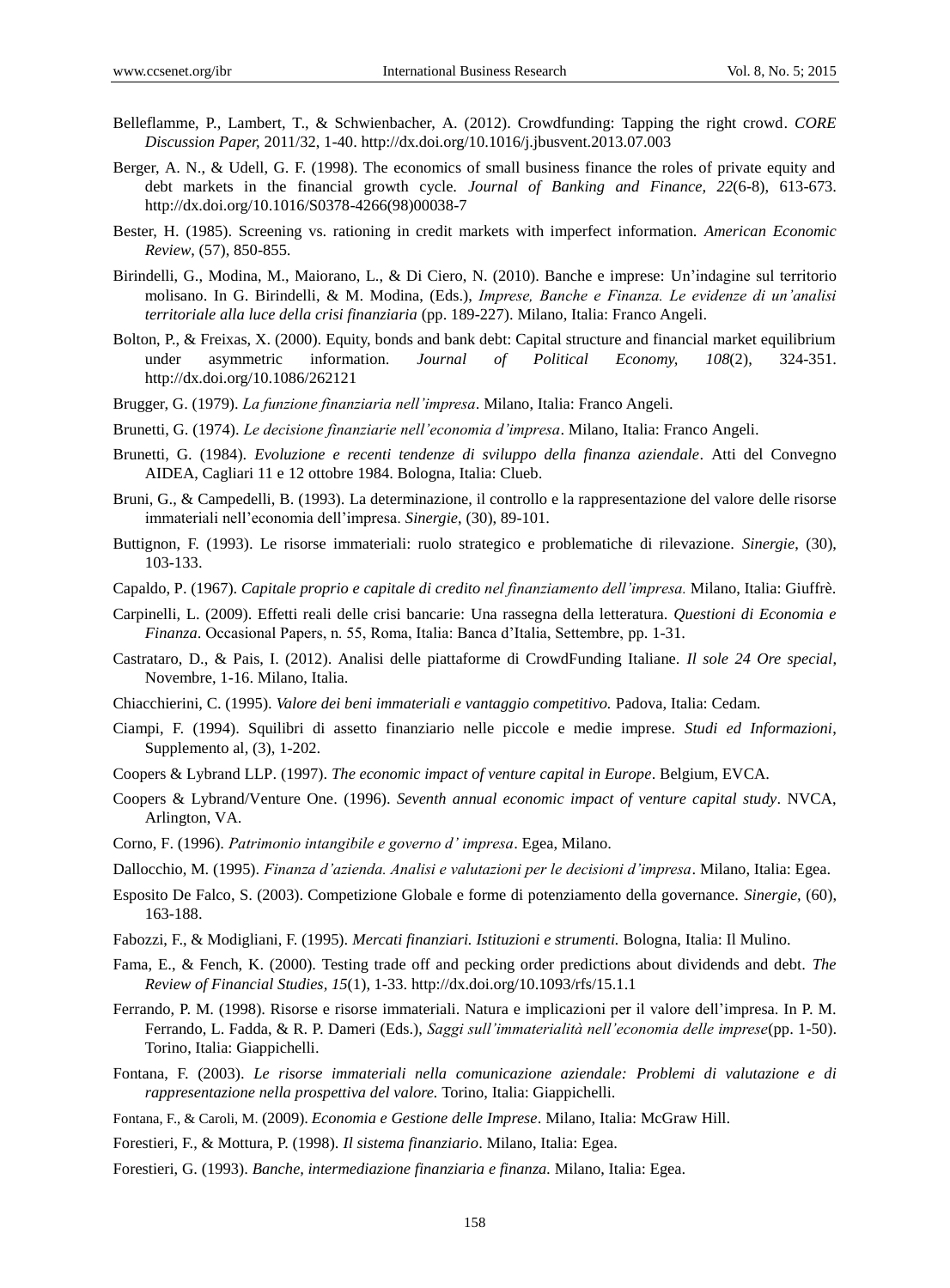- Belleflamme, P., Lambert, T., & Schwienbacher, A. (2012). Crowdfunding: Tapping the right crowd. *CORE Discussion Paper,* 2011/32, 1-40. http://dx.doi.org/10.1016/j.jbusvent.2013.07.003
- Berger, A. N., & Udell, G. F. (1998). The economics of small business finance the roles of private equity and debt markets in the financial growth cycle. *Journal of Banking and Finance, 22*(6-8), 613-673. http://dx.doi.org[/10.1016/S0378-4266\(98\)00038-7](http://dx.doi.org/10.1016/S0378-4266(98)00038-7)
- Bester, H. (1985). Screening vs. rationing in credit markets with imperfect information. *American Economic Review*, (57), 850-855.
- Birindelli, G., Modina, M., Maiorano, L., & Di Ciero, N. (2010). Banche e imprese: Un"indagine sul territorio molisano. In G. Birindelli, & M. Modina, (Eds.), *Imprese, Banche e Finanza. Le evidenze di un'analisi territoriale alla luce della crisi finanziaria* (pp. 189-227). Milano, Italia: Franco Angeli.
- Bolton, P., & Freixas, X. (2000). Equity, bonds and bank debt: Capital structure and financial market equilibrium under asymmetric information. *Journal of Political Economy, 108*(2), 324-351. http://dx.doi.org/10.1086/262121
- Brugger, G. (1979). *La funzione finanziaria nell'impresa*. Milano, Italia: Franco Angeli.
- Brunetti, G. (1974). *Le decisione finanziarie nell'economia d'impresa*. Milano, Italia: Franco Angeli.
- Brunetti, G. (1984). *Evoluzione e recenti tendenze di sviluppo della finanza aziendale*. Atti del Convegno AIDEA, Cagliari 11 e 12 ottobre 1984. Bologna, Italia: Clueb.
- Bruni, G., & Campedelli, B. (1993). La determinazione, il controllo e la rappresentazione del valore delle risorse immateriali nell"economia dell"impresa. *Sinergie*, (30), 89-101.
- Buttignon, F. (1993). Le risorse immateriali: ruolo strategico e problematiche di rilevazione. *Sinergie*, (30), 103-133.
- Capaldo, P. (1967). *Capitale proprio e capitale di credito nel finanziamento dell'impresa.* Milano, Italia: Giuffrè.
- Carpinelli, L. (2009). Effetti reali delle crisi bancarie: Una rassegna della letteratura. *Questioni di Economia e Finanza*. Occasional Papers, n. 55, Roma, Italia: Banca d"Italia, Settembre, pp. 1-31.
- Castrataro, D., & Pais, I. (2012). Analisi delle piattaforme di CrowdFunding Italiane. *Il sole 24 Ore special*, Novembre, 1-16. Milano, Italia.
- Chiacchierini, C. (1995). *Valore dei beni immateriali e vantaggio competitivo.* Padova, Italia: Cedam.
- Ciampi, F. (1994). Squilibri di assetto finanziario nelle piccole e medie imprese. *Studi ed Informazioni*, Supplemento al, (3), 1-202.
- Coopers & Lybrand LLP. (1997). *The economic impact of venture capital in Europe*. Belgium, EVCA.
- Coopers & Lybrand/Venture One. (1996). *Seventh annual economic impact of venture capital study*. NVCA, Arlington, VA.
- Corno, F. (1996). *Patrimonio intangibile e governo d' impresa*. Egea, Milano.
- Dallocchio, M. (1995). *Finanza d'azienda. Analisi e valutazioni per le decisioni d'impresa*. Milano, Italia: Egea.
- Esposito De Falco, S. (2003). Competizione Globale e forme di potenziamento della governance. *Sinergie,* (60), 163-188.
- Fabozzi, F., & Modigliani, F. (1995). *Mercati finanziari. Istituzioni e strumenti.* Bologna, Italia: Il Mulino.
- Fama, E., & Fench, K. (2000). Testing trade off and pecking order predictions about dividends and debt. *The Review of Financial Studies, 15*(1), 1-33. http://dx.doi.org/10.1093/rfs/15.1.1
- Ferrando, P. M. (1998). Risorse e risorse immateriali. Natura e implicazioni per il valore dell"impresa. In P. M. Ferrando, L. Fadda, & R. P. Dameri (Eds.), *Saggi sull'immaterialità nell'economia delle imprese*(pp. 1-50). Torino, Italia: Giappichelli.
- Fontana, F. (2003). *Le risorse immateriali nella comunicazione aziendale: Problemi di valutazione e di rappresentazione nella prospettiva del valore.* Torino, Italia: Giappichelli.
- Fontana, F., & Caroli, M. (2009). *Economia e Gestione delle Imprese*. Milano, Italia: McGraw Hill.
- Forestieri, F., & Mottura, P. (1998). *Il sistema finanziario*. Milano, Italia: Egea.
- Forestieri, G. (1993). *Banche, intermediazione finanziaria e finanza.* Milano, Italia: Egea.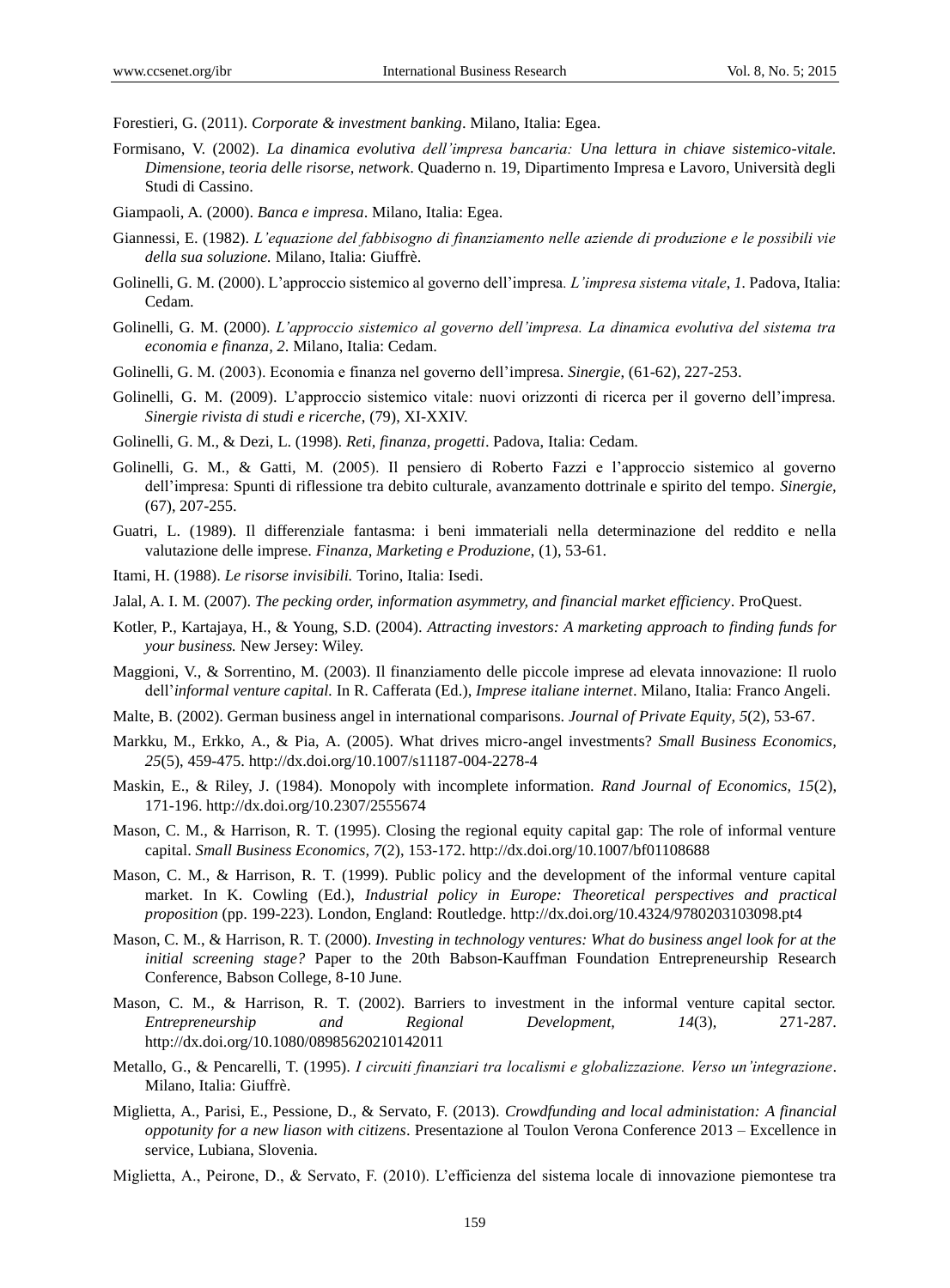Forestieri, G. (2011). *Corporate & investment banking*. Milano, Italia: Egea.

- Formisano, V. (2002). *La dinamica evolutiva dell'impresa bancaria: Una lettura in chiave sistemico-vitale. Dimensione, teoria delle risorse, network*. Quaderno n. 19, Dipartimento Impresa e Lavoro, Università degli Studi di Cassino.
- Giampaoli, A. (2000). *Banca e impresa*. Milano, Italia: Egea.
- Giannessi, E. (1982). *L'equazione del fabbisogno di finanziamento nelle aziende di produzione e le possibili vie della sua soluzione.* Milano, Italia: Giuffrè.
- Golinelli, G. M. (2000). L"approccio sistemico al governo dell"impresa*. L'impresa sistema vitale*, *1.* Padova, Italia: Cedam.
- Golinelli, G. M. (2000). *L'approccio sistemico al governo dell'impresa. La dinamica evolutiva del sistema tra economia e finanza, 2*. Milano, Italia: Cedam.
- Golinelli, G. M. (2003). Economia e finanza nel governo dell"impresa. *Sinergie*, (61-62), 227-253.
- Golinelli, G. M. (2009). L"approccio sistemico vitale: nuovi orizzonti di ricerca per il governo dell"impresa. *Sinergie rivista di studi e ricerche*, (79), XI-XXIV.
- Golinelli, G. M., & Dezi, L. (1998). *Reti, finanza, progetti*. Padova, Italia: Cedam.
- Golinelli, G. M., & Gatti, M. (2005). Il pensiero di Roberto Fazzi e l"approccio sistemico al governo dell"impresa: Spunti di riflessione tra debito culturale, avanzamento dottrinale e spirito del tempo. *Sinergie,* (67), 207-255.
- Guatri, L. (1989). Il differenziale fantasma: i beni immateriali nella determinazione del reddito e nella valutazione delle imprese. *Finanza, Marketing e Produzione*, (1), 53-61.
- Itami, H. (1988). *Le risorse invisibili.* Torino, Italia: Isedi.
- Jalal, A. I. M. (2007). *The pecking order, information asymmetry, and financial market efficiency*. ProQuest.
- Kotler, P., Kartajaya, H., & Young, S.D. (2004). *Attracting investors: A marketing approach to finding funds for your business.* New Jersey: Wiley.
- Maggioni, V., & Sorrentino, M. (2003). Il finanziamento delle piccole imprese ad elevata innovazione: Il ruolo dell"*informal venture capital.* In R. Cafferata (Ed.), *Imprese italiane internet*. Milano, Italia: Franco Angeli.
- Malte, B. (2002). German business angel in international comparisons. *Journal of Private Equity, 5*(2), 53-67.
- Markku, M., Erkko, A., & Pia, A. (2005). What drives micro-angel investments? *Small Business Economics, 25*(5), 459-475. http://dx.doi.org/10.1007/s11187-004-2278-4
- Maskin, E., & Riley, J. (1984). Monopoly with incomplete information. *Rand Journal of Economics, 15*(2), 171-196. http://dx.doi.org/10.2307/2555674
- Mason, C. M., & Harrison, R. T. (1995). Closing the regional equity capital gap: The role of informal venture capital. *Small Business Economics, 7*(2), 153-172. http://dx.doi.org/10.1007/bf01108688
- Mason, C. M., & Harrison, R. T. (1999). Public policy and the development of the informal venture capital market. In K. Cowling (Ed.), *Industrial policy in Europe: Theoretical perspectives and practical proposition* (pp. 199-223)*.* London, England: Routledge. http://dx.doi.org/10.4324/9780203103098.pt4
- Mason, C. M., & Harrison, R. T. (2000). *Investing in technology ventures: What do business angel look for at the initial screening stage?* Paper to the 20th Babson-Kauffman Foundation Entrepreneurship Research Conference, Babson College, 8-10 June.
- Mason, C. M., & Harrison, R. T. (2002). Barriers to investment in the informal venture capital sector. *Entrepreneurship and Regional Development, 14*(3), 271-287. http://dx.doi.org/10.1080/08985620210142011
- Metallo, G., & Pencarelli, T. (1995). *I circuiti finanziari tra localismi e globalizzazione. Verso un'integrazione*. Milano, Italia: Giuffrè.
- Miglietta, A., Parisi, E., Pessione, D., & Servato, F. (2013). *Crowdfunding and local administation: A financial oppotunity for a new liason with citizens*. Presentazione al Toulon Verona Conference 2013 – Excellence in service, Lubiana, Slovenia.
- Miglietta, A., Peirone, D., & Servato, F. (2010). L"efficienza del sistema locale di innovazione piemontese tra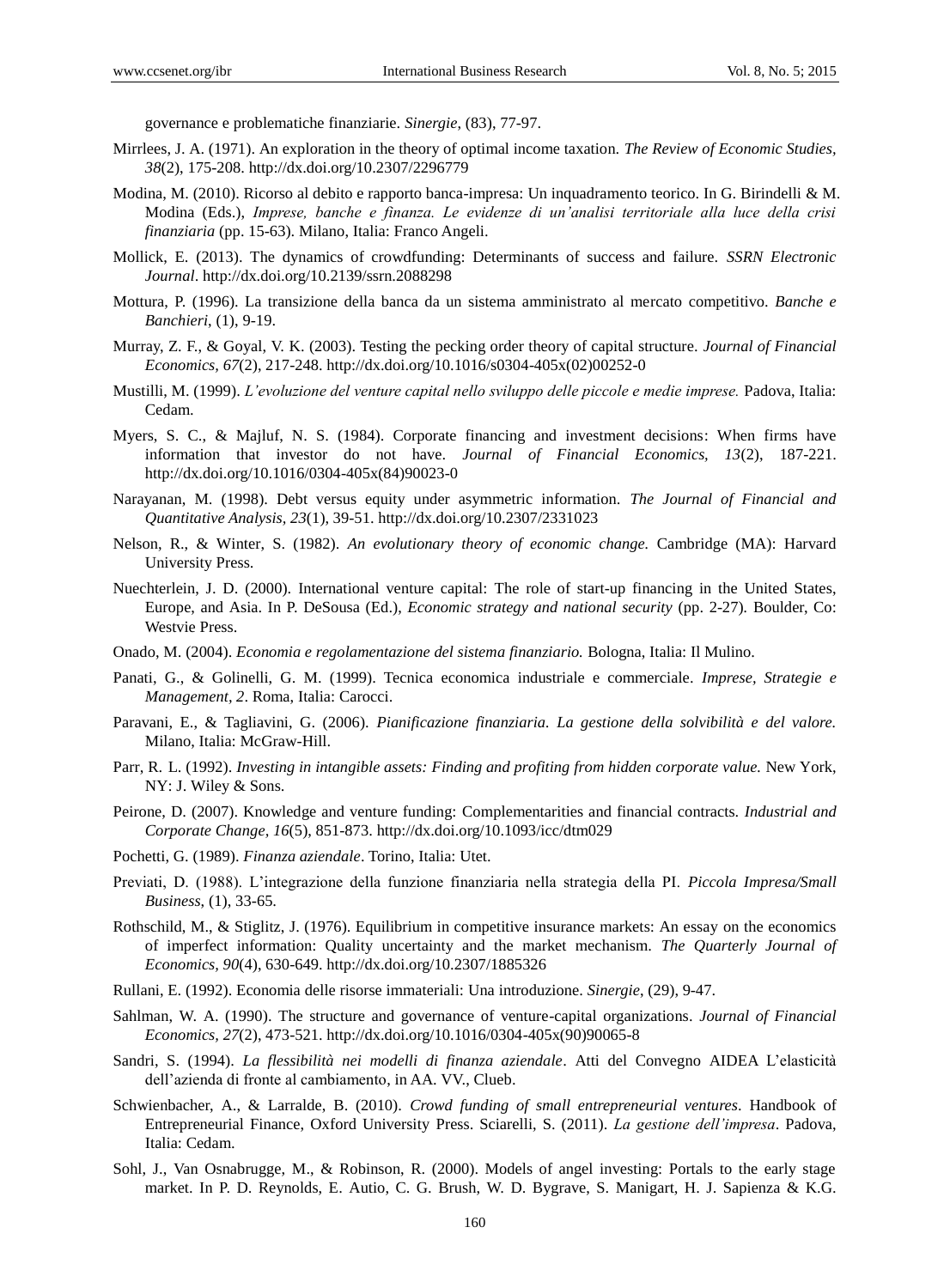governance e problematiche finanziarie. *Sinergie*, (83), 77-97.

- Mirrlees, J. A. (1971). An exploration in the theory of optimal income taxation. *The Review of Economic Studies, 38*(2), 175-208. http://dx.doi.org/10.2307/2296779
- Modina, M. (2010). Ricorso al debito e rapporto banca-impresa: Un inquadramento teorico. In G. Birindelli & M. Modina (Eds.), *Imprese, banche e finanza. Le evidenze di un'analisi territoriale alla luce della crisi finanziaria* (pp. 15-63). Milano, Italia: Franco Angeli.
- Mollick, E. (2013). The dynamics of crowdfunding: Determinants of success and failure. *SSRN Electronic Journal*. http://dx.doi.org/10.2139/ssrn.2088298
- Mottura, P. (1996). La transizione della banca da un sistema amministrato al mercato competitivo. *Banche e Banchieri*, (1), 9-19.
- Murray, Z. F., & Goyal, V. K. (2003). Testing the pecking order theory of capital structure. *Journal of Financial Economics, 67*(2), 217-248. http://dx.doi.org/10.1016/s0304-405x(02)00252-0
- Mustilli, M. (1999). *L'evoluzione del venture capital nello sviluppo delle piccole e medie imprese.* Padova, Italia: Cedam.
- Myers, S. C., & Majluf, N. S. (1984). Corporate financing and investment decisions: When firms have information that investor do not have. *Journal of Financial Economics, 13*(2), 187-221. http://dx.doi.org/10.1016/0304-405x(84)90023-0
- Narayanan, M. (1998). Debt versus equity under asymmetric information. *The Journal of Financial and Quantitative Analysis, 23*(1), 39-51. http://dx.doi.org/10.2307/2331023
- Nelson, R., & Winter, S. (1982). *An evolutionary theory of economic change.* Cambridge (MA): Harvard University Press.
- Nuechterlein, J. D. (2000). International venture capital: The role of start-up financing in the United States, Europe, and Asia. In P. DeSousa (Ed.), *Economic strategy and national security* (pp. 2-27)*.* Boulder, Co: Westvie Press.
- Onado, M. (2004). *Economia e regolamentazione del sistema finanziario.* Bologna, Italia: Il Mulino.
- Panati, G., & Golinelli, G. M. (1999). Tecnica economica industriale e commerciale. *Imprese, Strategie e Management, 2*. Roma, Italia: Carocci.
- Paravani, E., & Tagliavini, G. (2006). *Pianificazione finanziaria. La gestione della solvibilità e del valore.* Milano, Italia: McGraw-Hill.
- Parr, R. L. (1992). *Investing in intangible assets: Finding and profiting from hidden corporate value.* New York, NY: J. Wiley & Sons.
- Peirone, D. (2007). Knowledge and venture funding: Complementarities and financial contracts. *Industrial and Corporate Change, 16*(5), 851-873. http://dx.doi.org/10.1093/icc/dtm029
- Pochetti, G. (1989). *Finanza aziendale*. Torino, Italia: Utet.
- Previati, D. (1988). L"integrazione della funzione finanziaria nella strategia della PI. *Piccola Impresa/Small Business*, (1), 33-65.
- Rothschild, M., & Stiglitz, J. (1976). Equilibrium in competitive insurance markets: An essay on the economics of imperfect information: Quality uncertainty and the market mechanism. *The Quarterly Journal of Economics, 90*(4), 630-649. http://dx.doi.org/10.2307/1885326
- Rullani, E. (1992). Economia delle risorse immateriali: Una introduzione. *Sinergie*, (29), 9-47.
- Sahlman, W. A. (1990). The structure and governance of venture-capital organizations. *Journal of Financial Economics, 27*(2), 473-521. http://dx.doi.org/10.1016/0304-405x(90)90065-8
- Sandri, S. (1994). *La flessibilità nei modelli di finanza aziendale*. Atti del Convegno AIDEA L"elasticità dell"azienda di fronte al cambiamento, in AA. VV., Clueb.
- Schwienbacher, A., & Larralde, B. (2010). *Crowd funding of small entrepreneurial ventures*. Handbook of Entrepreneurial Finance, Oxford University Press. Sciarelli, S. (2011). *La gestione dell'impresa*. Padova, Italia: Cedam.
- Sohl, J., Van Osnabrugge, M., & Robinson, R. (2000). Models of angel investing: Portals to the early stage market. In P. D. Reynolds, E. Autio, C. G. Brush, W. D. Bygrave, S. Manigart, H. J. Sapienza & K.G.